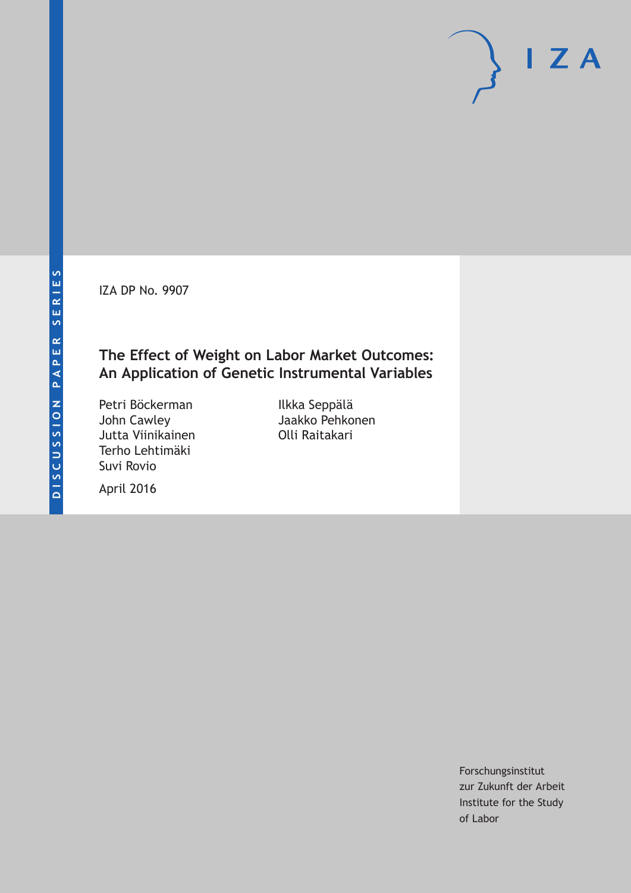IZA DP No. 9907

## **The Effect of Weight on Labor Market Outcomes: An Application of Genetic Instrumental Variables**

Petri Böckerman John Cawley Jutta Viinikainen Terho Lehtimäki Suvi Rovio

Ilkka Seppälä Jaakko Pehkonen Olli Raitakari

April 2016

Forschungsinstitut zur Zukunft der Arbeit Institute for the Study of Labor

 $I Z A$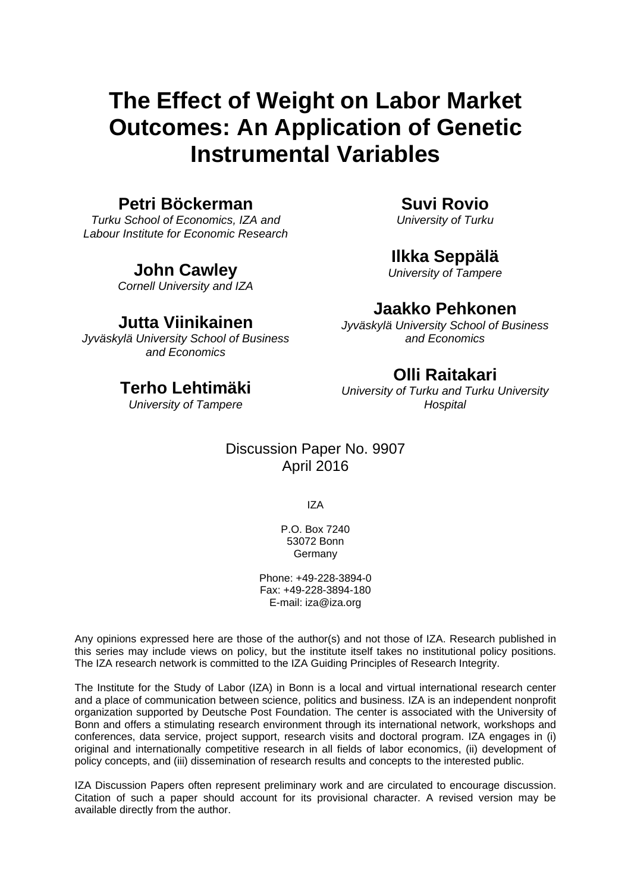# **The Effect of Weight on Labor Market Outcomes: An Application of Genetic Instrumental Variables**

### **Petri Böckerman**

*Turku School of Economics, IZA and Labour Institute for Economic Research* 

### **John Cawley**

*Cornell University and IZA* 

### **Jutta Viinikainen**

*Jyväskylä University School of Business and Economics* 

### **Terho Lehtimäki**

*University of Tampere* 

### **Suvi Rovio**

*University of Turku* 

### **Ilkka Seppälä**

*University of Tampere* 

### **Jaakko Pehkonen**

*Jyväskylä University School of Business and Economics* 

### **Olli Raitakari**

*University of Turku and Turku University Hospital* 

### Discussion Paper No. 9907 April 2016

IZA

P.O. Box 7240 53072 Bonn **Germany** 

Phone: +49-228-3894-0 Fax: +49-228-3894-180 E-mail: iza@iza.org

Any opinions expressed here are those of the author(s) and not those of IZA. Research published in this series may include views on policy, but the institute itself takes no institutional policy positions. The IZA research network is committed to the IZA Guiding Principles of Research Integrity.

The Institute for the Study of Labor (IZA) in Bonn is a local and virtual international research center and a place of communication between science, politics and business. IZA is an independent nonprofit organization supported by Deutsche Post Foundation. The center is associated with the University of Bonn and offers a stimulating research environment through its international network, workshops and conferences, data service, project support, research visits and doctoral program. IZA engages in (i) original and internationally competitive research in all fields of labor economics, (ii) development of policy concepts, and (iii) dissemination of research results and concepts to the interested public.

IZA Discussion Papers often represent preliminary work and are circulated to encourage discussion. Citation of such a paper should account for its provisional character. A revised version may be available directly from the author.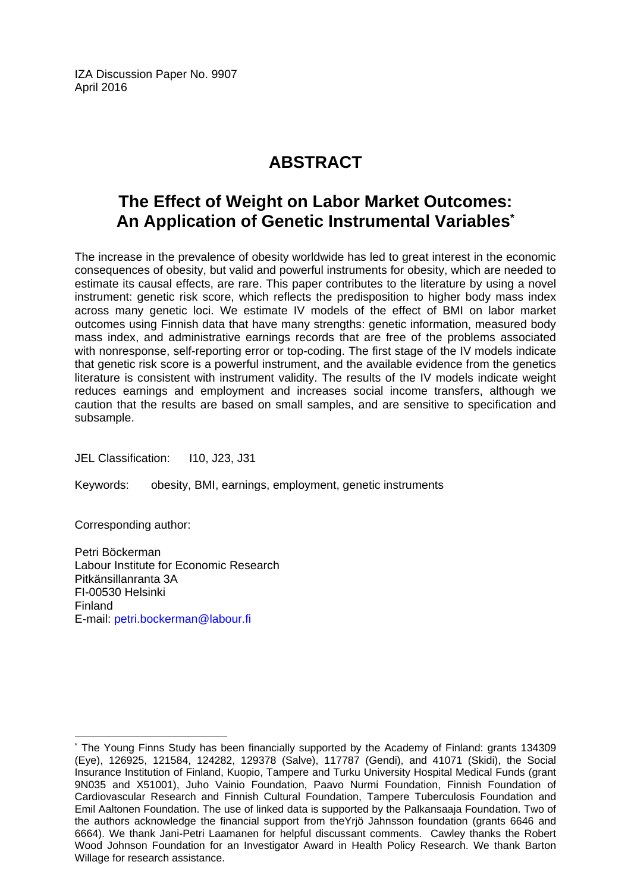IZA Discussion Paper No. 9907 April 2016

# **ABSTRACT**

# **The Effect of Weight on Labor Market Outcomes: An Application of Genetic Instrumental Variables\***

The increase in the prevalence of obesity worldwide has led to great interest in the economic consequences of obesity, but valid and powerful instruments for obesity, which are needed to estimate its causal effects, are rare. This paper contributes to the literature by using a novel instrument: genetic risk score, which reflects the predisposition to higher body mass index across many genetic loci. We estimate IV models of the effect of BMI on labor market outcomes using Finnish data that have many strengths: genetic information, measured body mass index, and administrative earnings records that are free of the problems associated with nonresponse, self-reporting error or top-coding. The first stage of the IV models indicate that genetic risk score is a powerful instrument, and the available evidence from the genetics literature is consistent with instrument validity. The results of the IV models indicate weight reduces earnings and employment and increases social income transfers, although we caution that the results are based on small samples, and are sensitive to specification and subsample.

JEL Classification: I10, J23, J31

Keywords: obesity, BMI, earnings, employment, genetic instruments

Corresponding author:

Petri Böckerman Labour Institute for Economic Research Pitkänsillanranta 3A FI-00530 Helsinki Finland E-mail: petri.bockerman@labour.fi

 $\overline{a}$ \* The Young Finns Study has been financially supported by the Academy of Finland: grants 134309 (Eye), 126925, 121584, 124282, 129378 (Salve), 117787 (Gendi), and 41071 (Skidi), the Social Insurance Institution of Finland, Kuopio, Tampere and Turku University Hospital Medical Funds (grant 9N035 and X51001), Juho Vainio Foundation, Paavo Nurmi Foundation, Finnish Foundation of Cardiovascular Research and Finnish Cultural Foundation, Tampere Tuberculosis Foundation and Emil Aaltonen Foundation. The use of linked data is supported by the Palkansaaja Foundation. Two of the authors acknowledge the financial support from theYrjö Jahnsson foundation (grants 6646 and 6664). We thank Jani-Petri Laamanen for helpful discussant comments. Cawley thanks the Robert Wood Johnson Foundation for an Investigator Award in Health Policy Research. We thank Barton Willage for research assistance.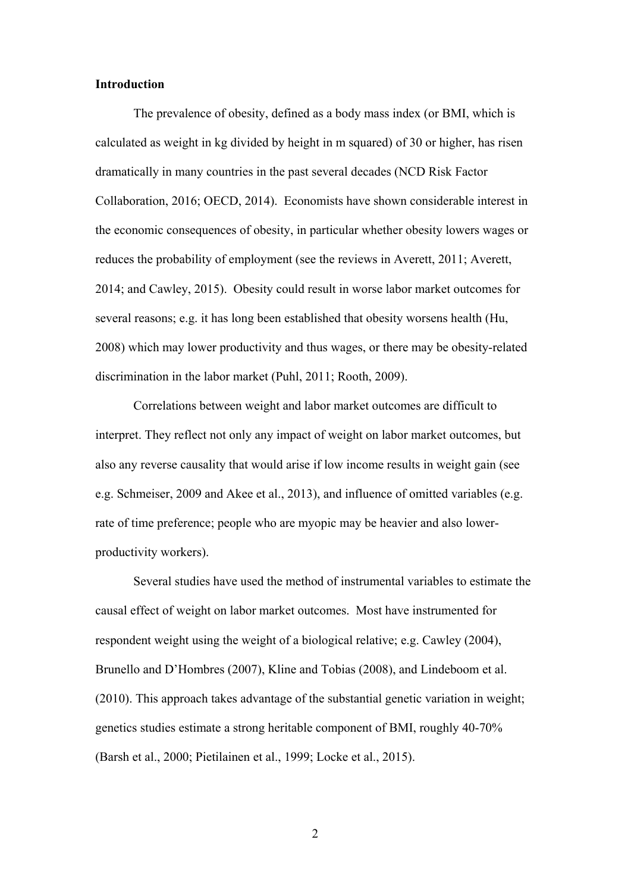#### **Introduction**

The prevalence of obesity, defined as a body mass index (or BMI, which is calculated as weight in kg divided by height in m squared) of 30 or higher, has risen dramatically in many countries in the past several decades (NCD Risk Factor Collaboration, 2016; OECD, 2014). Economists have shown considerable interest in the economic consequences of obesity, in particular whether obesity lowers wages or reduces the probability of employment (see the reviews in Averett, 2011; Averett, 2014; and Cawley, 2015). Obesity could result in worse labor market outcomes for several reasons; e.g. it has long been established that obesity worsens health (Hu, 2008) which may lower productivity and thus wages, or there may be obesity-related discrimination in the labor market (Puhl, 2011; Rooth, 2009).

Correlations between weight and labor market outcomes are difficult to interpret. They reflect not only any impact of weight on labor market outcomes, but also any reverse causality that would arise if low income results in weight gain (see e.g. Schmeiser, 2009 and Akee et al., 2013), and influence of omitted variables (e.g. rate of time preference; people who are myopic may be heavier and also lowerproductivity workers).

Several studies have used the method of instrumental variables to estimate the causal effect of weight on labor market outcomes. Most have instrumented for respondent weight using the weight of a biological relative; e.g. Cawley (2004), Brunello and D'Hombres (2007), Kline and Tobias (2008), and Lindeboom et al. (2010). This approach takes advantage of the substantial genetic variation in weight; genetics studies estimate a strong heritable component of BMI, roughly 40-70% (Barsh et al., 2000; Pietilainen et al., 1999; Locke et al., 2015).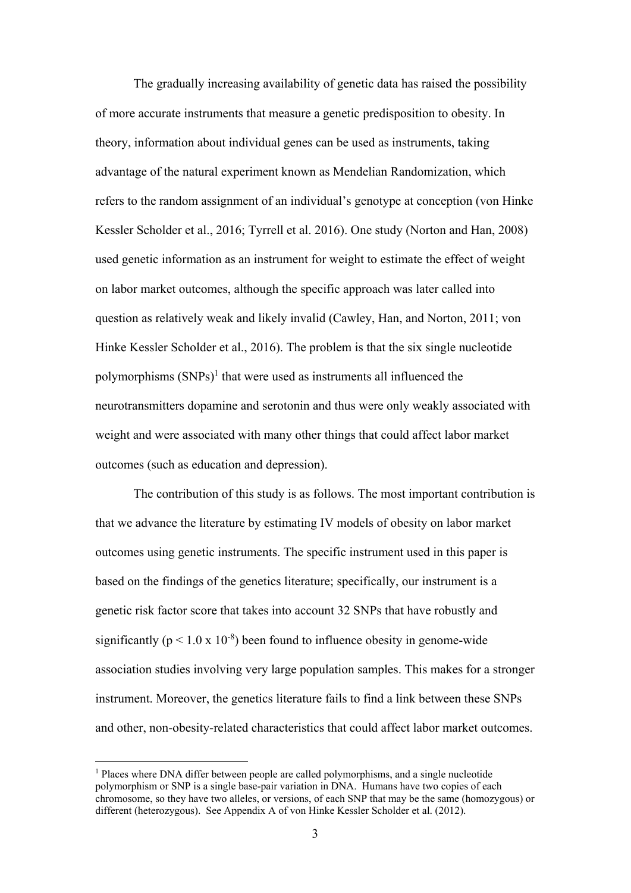The gradually increasing availability of genetic data has raised the possibility of more accurate instruments that measure a genetic predisposition to obesity. In theory, information about individual genes can be used as instruments, taking advantage of the natural experiment known as Mendelian Randomization, which refers to the random assignment of an individual's genotype at conception (von Hinke Kessler Scholder et al., 2016; Tyrrell et al. 2016). One study (Norton and Han, 2008) used genetic information as an instrument for weight to estimate the effect of weight on labor market outcomes, although the specific approach was later called into question as relatively weak and likely invalid (Cawley, Han, and Norton, 2011; von Hinke Kessler Scholder et al., 2016). The problem is that the six single nucleotide polymorphisms  $(SNPs)^1$  that were used as instruments all influenced the neurotransmitters dopamine and serotonin and thus were only weakly associated with weight and were associated with many other things that could affect labor market outcomes (such as education and depression).

The contribution of this study is as follows. The most important contribution is that we advance the literature by estimating IV models of obesity on labor market outcomes using genetic instruments. The specific instrument used in this paper is based on the findings of the genetics literature; specifically, our instrument is a genetic risk factor score that takes into account 32 SNPs that have robustly and significantly ( $p < 1.0 \times 10^{-8}$ ) been found to influence obesity in genome-wide association studies involving very large population samples. This makes for a stronger instrument. Moreover, the genetics literature fails to find a link between these SNPs and other, non-obesity-related characteristics that could affect labor market outcomes.

<u>.</u>

<sup>&</sup>lt;sup>1</sup> Places where DNA differ between people are called polymorphisms, and a single nucleotide polymorphism or SNP is a single base-pair variation in DNA. Humans have two copies of each chromosome, so they have two alleles, or versions, of each SNP that may be the same (homozygous) or different (heterozygous). See Appendix A of von Hinke Kessler Scholder et al. (2012).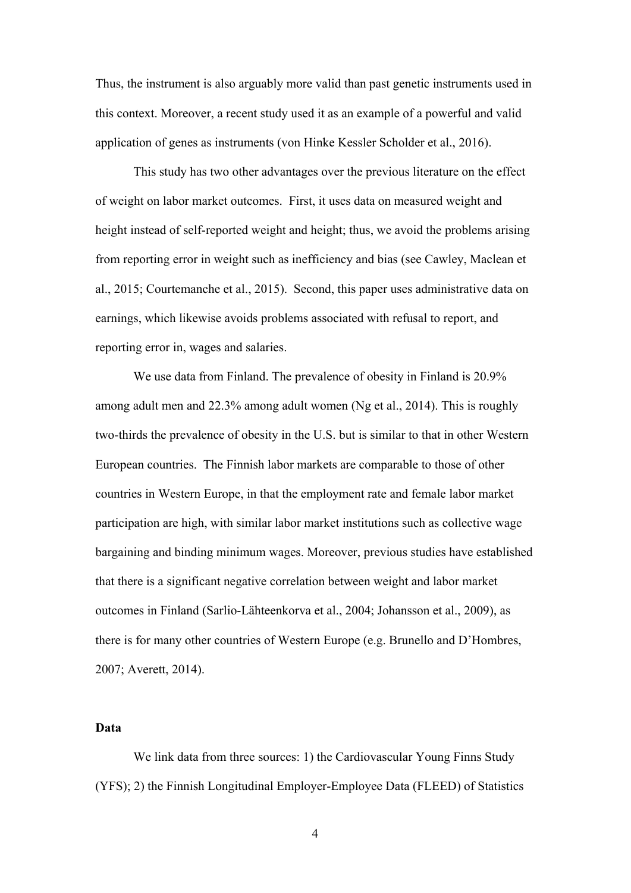Thus, the instrument is also arguably more valid than past genetic instruments used in this context. Moreover, a recent study used it as an example of a powerful and valid application of genes as instruments (von Hinke Kessler Scholder et al., 2016).

 This study has two other advantages over the previous literature on the effect of weight on labor market outcomes. First, it uses data on measured weight and height instead of self-reported weight and height; thus, we avoid the problems arising from reporting error in weight such as inefficiency and bias (see Cawley, Maclean et al., 2015; Courtemanche et al., 2015). Second, this paper uses administrative data on earnings, which likewise avoids problems associated with refusal to report, and reporting error in, wages and salaries.

 We use data from Finland. The prevalence of obesity in Finland is 20.9% among adult men and 22.3% among adult women (Ng et al., 2014). This is roughly two-thirds the prevalence of obesity in the U.S. but is similar to that in other Western European countries. The Finnish labor markets are comparable to those of other countries in Western Europe, in that the employment rate and female labor market participation are high, with similar labor market institutions such as collective wage bargaining and binding minimum wages. Moreover, previous studies have established that there is a significant negative correlation between weight and labor market outcomes in Finland (Sarlio-Lähteenkorva et al., 2004; Johansson et al., 2009), as there is for many other countries of Western Europe (e.g. Brunello and D'Hombres, 2007; Averett, 2014).

#### **Data**

We link data from three sources: 1) the Cardiovascular Young Finns Study (YFS); 2) the Finnish Longitudinal Employer-Employee Data (FLEED) of Statistics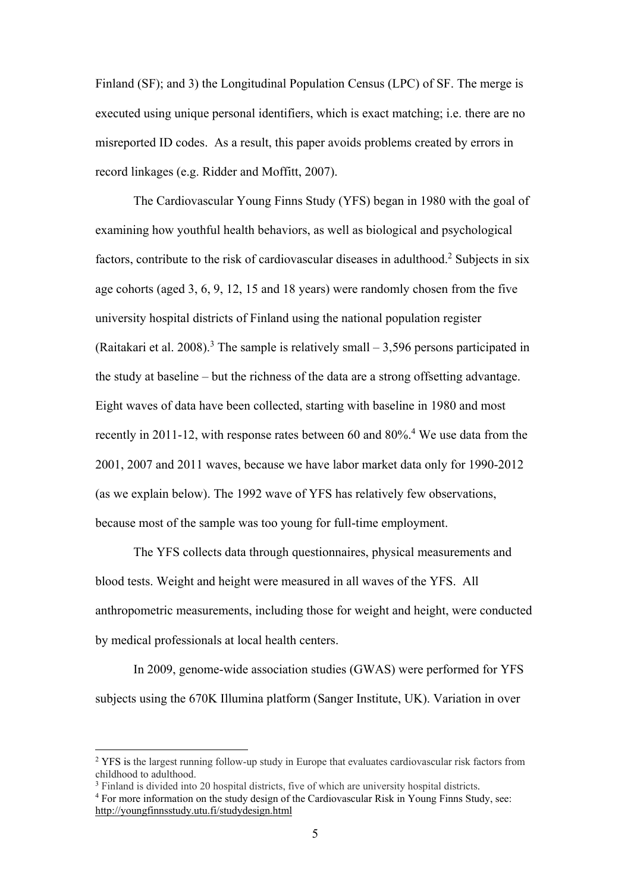Finland (SF); and 3) the Longitudinal Population Census (LPC) of SF. The merge is executed using unique personal identifiers, which is exact matching; i.e. there are no misreported ID codes. As a result, this paper avoids problems created by errors in record linkages (e.g. Ridder and Moffitt, 2007).

The Cardiovascular Young Finns Study (YFS) began in 1980 with the goal of examining how youthful health behaviors, as well as biological and psychological factors, contribute to the risk of cardiovascular diseases in adulthood.<sup>2</sup> Subjects in six age cohorts (aged 3, 6, 9, 12, 15 and 18 years) were randomly chosen from the five university hospital districts of Finland using the national population register (Raitakari et al. 2008).<sup>3</sup> The sample is relatively small  $-3,596$  persons participated in the study at baseline – but the richness of the data are a strong offsetting advantage. Eight waves of data have been collected, starting with baseline in 1980 and most recently in 2011-12, with response rates between 60 and 80%.<sup>4</sup> We use data from the 2001, 2007 and 2011 waves, because we have labor market data only for 1990-2012 (as we explain below). The 1992 wave of YFS has relatively few observations, because most of the sample was too young for full-time employment.

The YFS collects data through questionnaires, physical measurements and blood tests. Weight and height were measured in all waves of the YFS. All anthropometric measurements, including those for weight and height, were conducted by medical professionals at local health centers.

In 2009, genome-wide association studies (GWAS) were performed for YFS subjects using the 670K Illumina platform (Sanger Institute, UK). Variation in over

<sup>&</sup>lt;sup>2</sup> YFS is the largest running follow-up study in Europe that evaluates cardiovascular risk factors from childhood to adulthood.

<sup>&</sup>lt;sup>3</sup> Finland is divided into 20 hospital districts, five of which are university hospital districts.

For more information on the study design of the Cardiovascular Risk in Young Finns Study, see: http://youngfinnsstudy.utu.fi/studydesign.html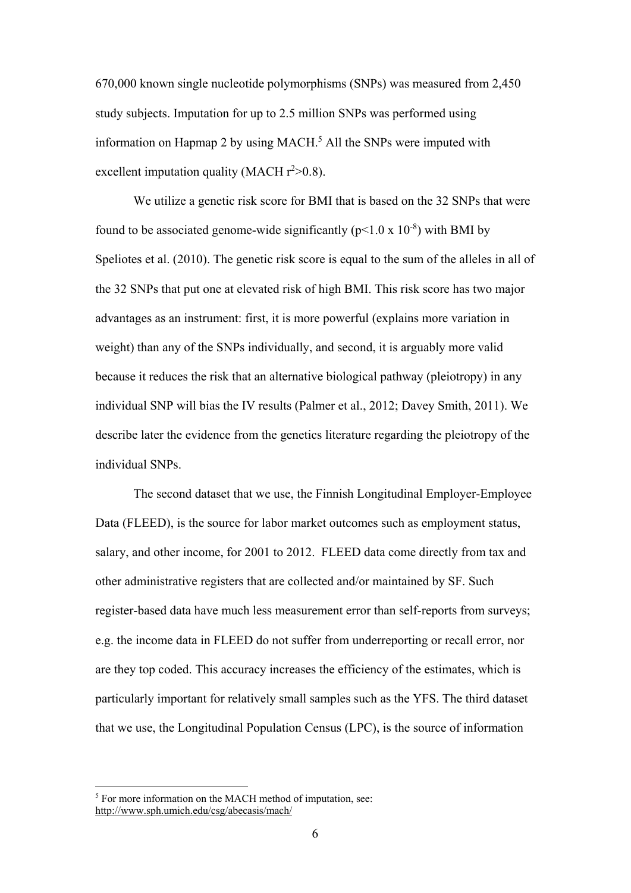670,000 known single nucleotide polymorphisms (SNPs) was measured from 2,450 study subjects. Imputation for up to 2.5 million SNPs was performed using information on Hapmap 2 by using MACH.<sup>5</sup> All the SNPs were imputed with excellent imputation quality (MACH  $r^2 > 0.8$ ).

We utilize a genetic risk score for BMI that is based on the 32 SNPs that were found to be associated genome-wide significantly ( $p<1.0 \times 10^{-8}$ ) with BMI by Speliotes et al. (2010). The genetic risk score is equal to the sum of the alleles in all of the 32 SNPs that put one at elevated risk of high BMI. This risk score has two major advantages as an instrument: first, it is more powerful (explains more variation in weight) than any of the SNPs individually, and second, it is arguably more valid because it reduces the risk that an alternative biological pathway (pleiotropy) in any individual SNP will bias the IV results (Palmer et al., 2012; Davey Smith, 2011). We describe later the evidence from the genetics literature regarding the pleiotropy of the individual SNPs.

The second dataset that we use, the Finnish Longitudinal Employer-Employee Data (FLEED), is the source for labor market outcomes such as employment status, salary, and other income, for 2001 to 2012. FLEED data come directly from tax and other administrative registers that are collected and/or maintained by SF. Such register-based data have much less measurement error than self-reports from surveys; e.g. the income data in FLEED do not suffer from underreporting or recall error, nor are they top coded. This accuracy increases the efficiency of the estimates, which is particularly important for relatively small samples such as the YFS. The third dataset that we use, the Longitudinal Population Census (LPC), is the source of information

<sup>&</sup>lt;sup>5</sup> For more information on the MACH method of imputation, see: http://www.sph.umich.edu/csg/abecasis/mach/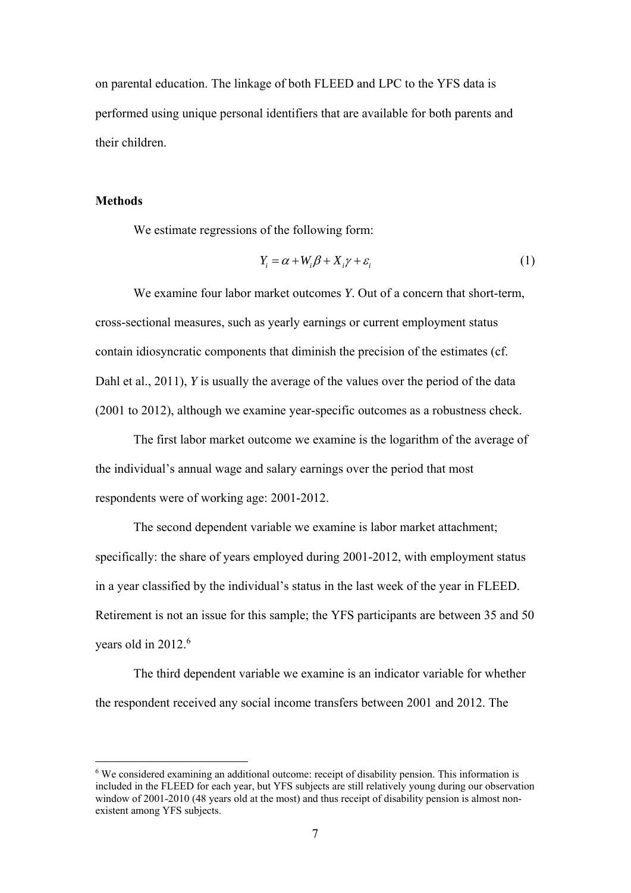on parental education. The linkage of both FLEED and LPC to the YFS data is performed using unique personal identifiers that are available for both parents and their children.

#### **Methods**

<u>.</u>

We estimate regressions of the following form:

$$
Y_i = \alpha + W_i \beta + X_i \gamma + \varepsilon_i \tag{1}
$$

We examine four labor market outcomes *Y*. Out of a concern that short-term, cross-sectional measures, such as yearly earnings or current employment status contain idiosyncratic components that diminish the precision of the estimates (cf. Dahl et al., 2011), *Y* is usually the average of the values over the period of the data (2001 to 2012), although we examine year-specific outcomes as a robustness check.

The first labor market outcome we examine is the logarithm of the average of the individual's annual wage and salary earnings over the period that most respondents were of working age: 2001-2012.

The second dependent variable we examine is labor market attachment; specifically: the share of years employed during 2001-2012, with employment status in a year classified by the individual's status in the last week of the year in FLEED. Retirement is not an issue for this sample; the YFS participants are between 35 and 50 years old in 2012.<sup>6</sup>

The third dependent variable we examine is an indicator variable for whether the respondent received any social income transfers between 2001 and 2012. The

<sup>&</sup>lt;sup>6</sup> We considered examining an additional outcome: receipt of disability pension. This information is included in the FLEED for each year, but YFS subjects are still relatively young during our observation window of 2001-2010 (48 years old at the most) and thus receipt of disability pension is almost nonexistent among YFS subjects.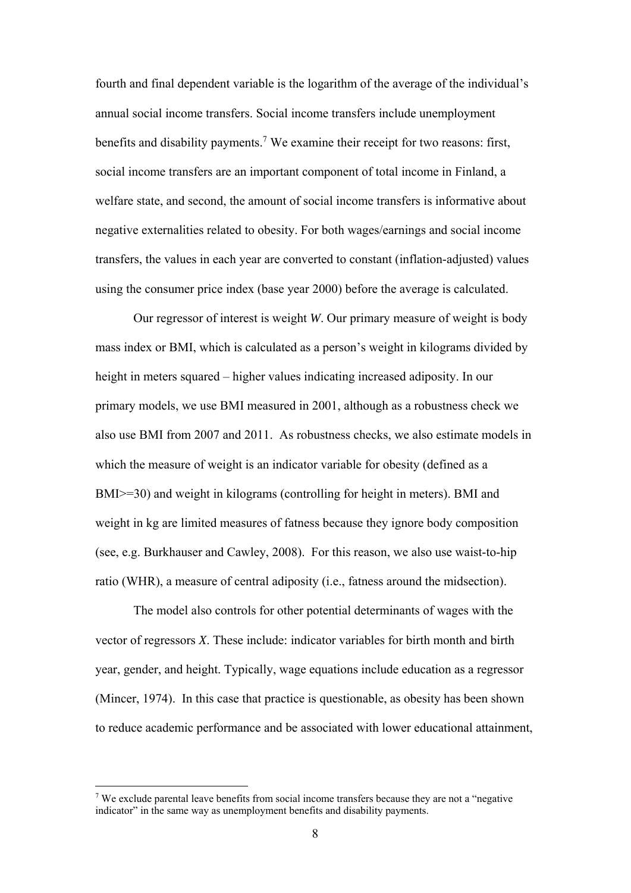fourth and final dependent variable is the logarithm of the average of the individual's annual social income transfers. Social income transfers include unemployment benefits and disability payments.<sup>7</sup> We examine their receipt for two reasons: first, social income transfers are an important component of total income in Finland, a welfare state, and second, the amount of social income transfers is informative about negative externalities related to obesity. For both wages/earnings and social income transfers, the values in each year are converted to constant (inflation-adjusted) values using the consumer price index (base year 2000) before the average is calculated.

Our regressor of interest is weight *W*. Our primary measure of weight is body mass index or BMI, which is calculated as a person's weight in kilograms divided by height in meters squared – higher values indicating increased adiposity. In our primary models, we use BMI measured in 2001, although as a robustness check we also use BMI from 2007 and 2011. As robustness checks, we also estimate models in which the measure of weight is an indicator variable for obesity (defined as a BMI>=30) and weight in kilograms (controlling for height in meters). BMI and weight in kg are limited measures of fatness because they ignore body composition (see, e.g. Burkhauser and Cawley, 2008). For this reason, we also use waist-to-hip ratio (WHR), a measure of central adiposity (i.e., fatness around the midsection).

The model also controls for other potential determinants of wages with the vector of regressors *X*. These include: indicator variables for birth month and birth year, gender, and height. Typically, wage equations include education as a regressor (Mincer, 1974). In this case that practice is questionable, as obesity has been shown to reduce academic performance and be associated with lower educational attainment,

<sup>&</sup>lt;sup>7</sup> We exclude parental leave benefits from social income transfers because they are not a "negative" indicator" in the same way as unemployment benefits and disability payments.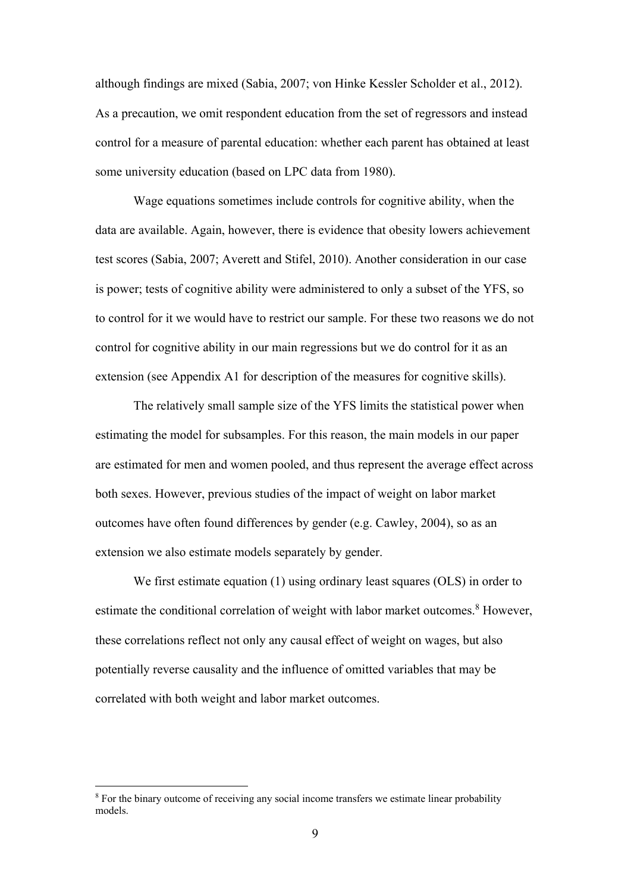although findings are mixed (Sabia, 2007; von Hinke Kessler Scholder et al., 2012). As a precaution, we omit respondent education from the set of regressors and instead control for a measure of parental education: whether each parent has obtained at least some university education (based on LPC data from 1980).

Wage equations sometimes include controls for cognitive ability, when the data are available. Again, however, there is evidence that obesity lowers achievement test scores (Sabia, 2007; Averett and Stifel, 2010). Another consideration in our case is power; tests of cognitive ability were administered to only a subset of the YFS, so to control for it we would have to restrict our sample. For these two reasons we do not control for cognitive ability in our main regressions but we do control for it as an extension (see Appendix A1 for description of the measures for cognitive skills).

The relatively small sample size of the YFS limits the statistical power when estimating the model for subsamples. For this reason, the main models in our paper are estimated for men and women pooled, and thus represent the average effect across both sexes. However, previous studies of the impact of weight on labor market outcomes have often found differences by gender (e.g. Cawley, 2004), so as an extension we also estimate models separately by gender.

We first estimate equation (1) using ordinary least squares (OLS) in order to estimate the conditional correlation of weight with labor market outcomes.<sup>8</sup> However, these correlations reflect not only any causal effect of weight on wages, but also potentially reverse causality and the influence of omitted variables that may be correlated with both weight and labor market outcomes.

<sup>&</sup>lt;sup>8</sup> For the binary outcome of receiving any social income transfers we estimate linear probability models.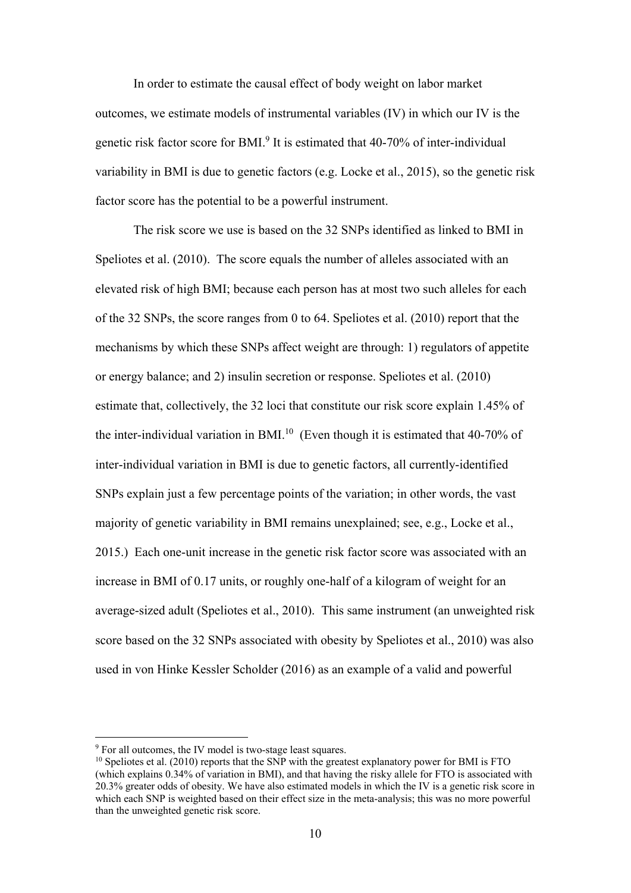In order to estimate the causal effect of body weight on labor market outcomes, we estimate models of instrumental variables (IV) in which our IV is the genetic risk factor score for BMI.<sup>9</sup> It is estimated that 40-70% of inter-individual variability in BMI is due to genetic factors (e.g. Locke et al., 2015), so the genetic risk factor score has the potential to be a powerful instrument.

The risk score we use is based on the 32 SNPs identified as linked to BMI in Speliotes et al. (2010). The score equals the number of alleles associated with an elevated risk of high BMI; because each person has at most two such alleles for each of the 32 SNPs, the score ranges from 0 to 64. Speliotes et al. (2010) report that the mechanisms by which these SNPs affect weight are through: 1) regulators of appetite or energy balance; and 2) insulin secretion or response. Speliotes et al. (2010) estimate that, collectively, the 32 loci that constitute our risk score explain 1.45% of the inter-individual variation in BMI.<sup>10</sup> (Even though it is estimated that  $40-70\%$  of inter-individual variation in BMI is due to genetic factors, all currently-identified SNPs explain just a few percentage points of the variation; in other words, the vast majority of genetic variability in BMI remains unexplained; see, e.g., Locke et al., 2015.) Each one-unit increase in the genetic risk factor score was associated with an increase in BMI of 0.17 units, or roughly one-half of a kilogram of weight for an average-sized adult (Speliotes et al., 2010). This same instrument (an unweighted risk score based on the 32 SNPs associated with obesity by Speliotes et al., 2010) was also used in von Hinke Kessler Scholder (2016) as an example of a valid and powerful

<sup>&</sup>lt;sup>9</sup> For all outcomes, the IV model is two-stage least squares.

 $^{10}$  Speliotes et al. (2010) reports that the SNP with the greatest explanatory power for BMI is FTO (which explains 0.34% of variation in BMI), and that having the risky allele for FTO is associated with 20.3% greater odds of obesity. We have also estimated models in which the IV is a genetic risk score in which each SNP is weighted based on their effect size in the meta-analysis; this was no more powerful than the unweighted genetic risk score.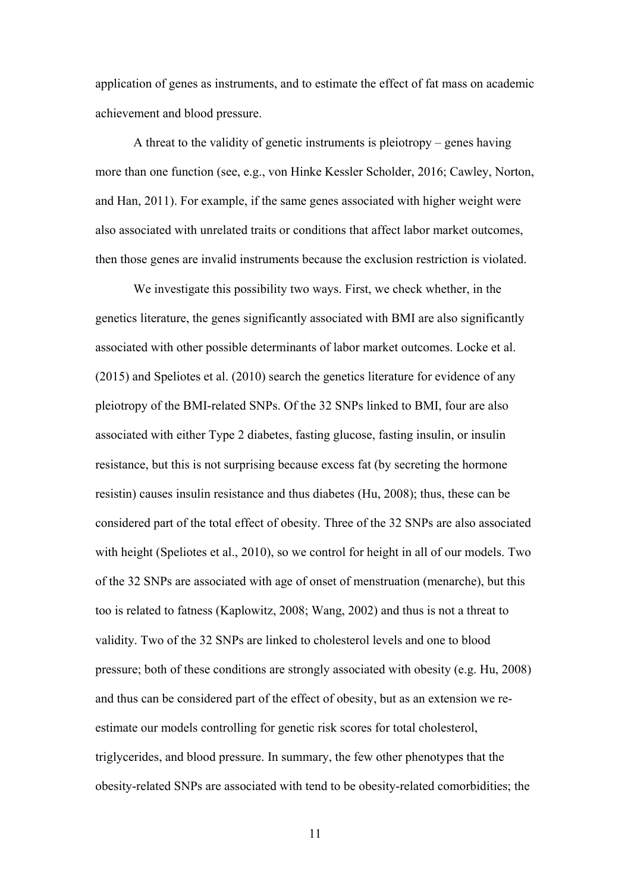application of genes as instruments, and to estimate the effect of fat mass on academic achievement and blood pressure.

A threat to the validity of genetic instruments is pleiotropy – genes having more than one function (see, e.g., von Hinke Kessler Scholder, 2016; Cawley, Norton, and Han, 2011). For example, if the same genes associated with higher weight were also associated with unrelated traits or conditions that affect labor market outcomes, then those genes are invalid instruments because the exclusion restriction is violated.

We investigate this possibility two ways. First, we check whether, in the genetics literature, the genes significantly associated with BMI are also significantly associated with other possible determinants of labor market outcomes. Locke et al. (2015) and Speliotes et al. (2010) search the genetics literature for evidence of any pleiotropy of the BMI-related SNPs. Of the 32 SNPs linked to BMI, four are also associated with either Type 2 diabetes, fasting glucose, fasting insulin, or insulin resistance, but this is not surprising because excess fat (by secreting the hormone resistin) causes insulin resistance and thus diabetes (Hu, 2008); thus, these can be considered part of the total effect of obesity. Three of the 32 SNPs are also associated with height (Speliotes et al., 2010), so we control for height in all of our models. Two of the 32 SNPs are associated with age of onset of menstruation (menarche), but this too is related to fatness (Kaplowitz, 2008; Wang, 2002) and thus is not a threat to validity. Two of the 32 SNPs are linked to cholesterol levels and one to blood pressure; both of these conditions are strongly associated with obesity (e.g. Hu, 2008) and thus can be considered part of the effect of obesity, but as an extension we reestimate our models controlling for genetic risk scores for total cholesterol, triglycerides, and blood pressure. In summary, the few other phenotypes that the obesity-related SNPs are associated with tend to be obesity-related comorbidities; the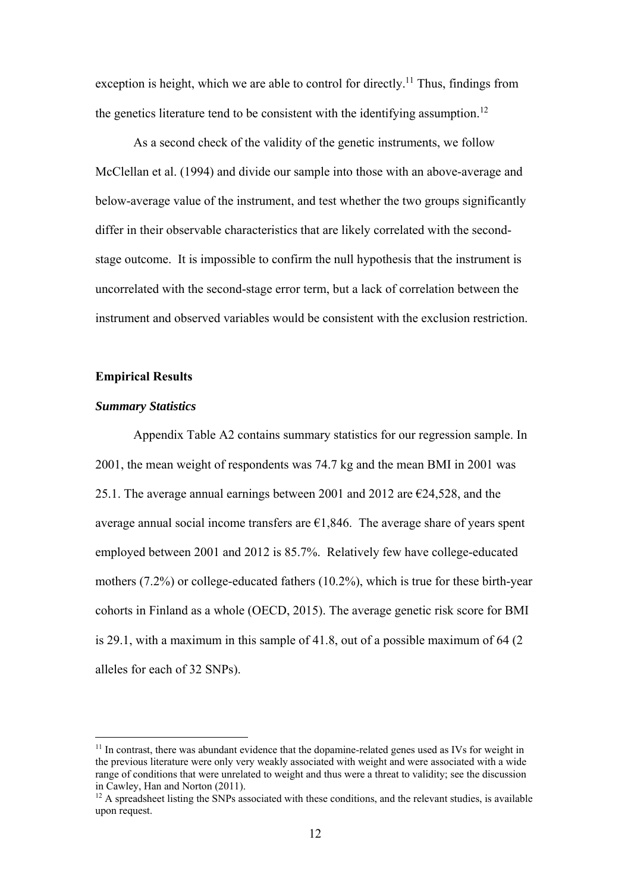exception is height, which we are able to control for directly.<sup>11</sup> Thus, findings from the genetics literature tend to be consistent with the identifying assumption.<sup>12</sup>

As a second check of the validity of the genetic instruments, we follow McClellan et al. (1994) and divide our sample into those with an above-average and below-average value of the instrument, and test whether the two groups significantly differ in their observable characteristics that are likely correlated with the secondstage outcome. It is impossible to confirm the null hypothesis that the instrument is uncorrelated with the second-stage error term, but a lack of correlation between the instrument and observed variables would be consistent with the exclusion restriction.

#### **Empirical Results**

#### *Summary Statistics*

1

Appendix Table A2 contains summary statistics for our regression sample. In 2001, the mean weight of respondents was 74.7 kg and the mean BMI in 2001 was 25.1. The average annual earnings between 2001 and 2012 are  $\epsilon$ 24,528, and the average annual social income transfers are  $\epsilon$ 1,846. The average share of years spent employed between 2001 and 2012 is 85.7%. Relatively few have college-educated mothers (7.2%) or college-educated fathers (10.2%), which is true for these birth-year cohorts in Finland as a whole (OECD, 2015). The average genetic risk score for BMI is 29.1, with a maximum in this sample of 41.8, out of a possible maximum of 64 (2 alleles for each of 32 SNPs).

<sup>&</sup>lt;sup>11</sup> In contrast, there was abundant evidence that the dopamine-related genes used as IVs for weight in the previous literature were only very weakly associated with weight and were associated with a wide range of conditions that were unrelated to weight and thus were a threat to validity; see the discussion in Cawley, Han and Norton (2011).

 $12$  A spreadsheet listing the SNPs associated with these conditions, and the relevant studies, is available upon request.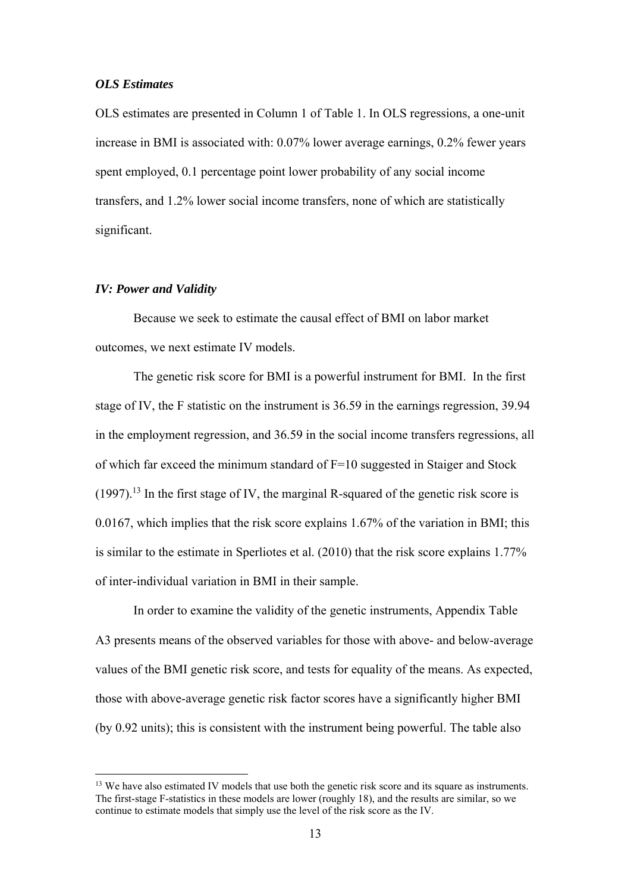#### *OLS Estimates*

OLS estimates are presented in Column 1 of Table 1. In OLS regressions, a one-unit increase in BMI is associated with: 0.07% lower average earnings, 0.2% fewer years spent employed, 0.1 percentage point lower probability of any social income transfers, and 1.2% lower social income transfers, none of which are statistically significant.

#### *IV: Power and Validity*

1

Because we seek to estimate the causal effect of BMI on labor market outcomes, we next estimate IV models.

The genetic risk score for BMI is a powerful instrument for BMI. In the first stage of IV, the F statistic on the instrument is 36.59 in the earnings regression, 39.94 in the employment regression, and 36.59 in the social income transfers regressions, all of which far exceed the minimum standard of F=10 suggested in Staiger and Stock  $(1997)$ <sup>13</sup>. In the first stage of IV, the marginal R-squared of the genetic risk score is 0.0167, which implies that the risk score explains 1.67% of the variation in BMI; this is similar to the estimate in Sperliotes et al. (2010) that the risk score explains 1.77% of inter-individual variation in BMI in their sample.

In order to examine the validity of the genetic instruments, Appendix Table A3 presents means of the observed variables for those with above- and below-average values of the BMI genetic risk score, and tests for equality of the means. As expected, those with above-average genetic risk factor scores have a significantly higher BMI (by 0.92 units); this is consistent with the instrument being powerful. The table also

<sup>&</sup>lt;sup>13</sup> We have also estimated IV models that use both the genetic risk score and its square as instruments. The first-stage F-statistics in these models are lower (roughly 18), and the results are similar, so we continue to estimate models that simply use the level of the risk score as the IV.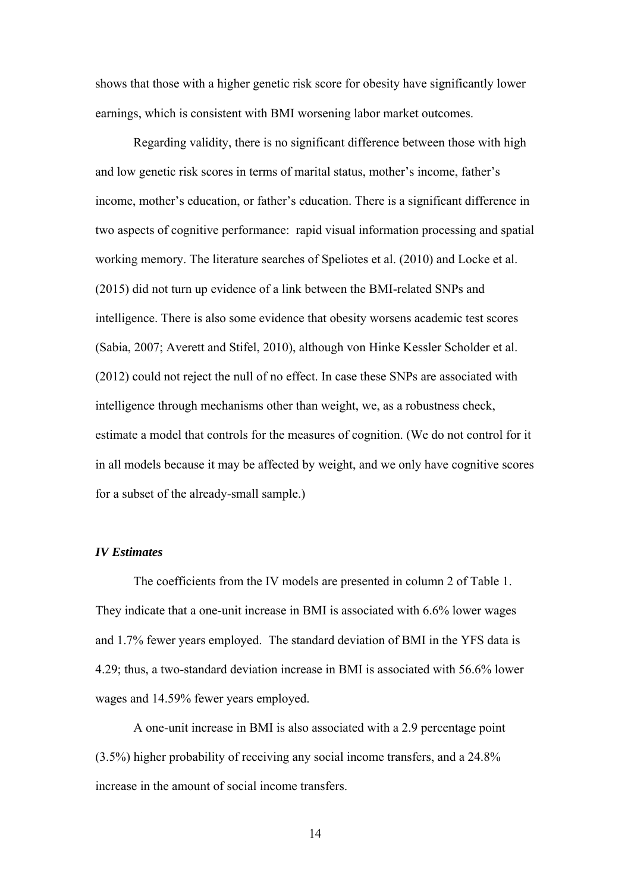shows that those with a higher genetic risk score for obesity have significantly lower earnings, which is consistent with BMI worsening labor market outcomes.

Regarding validity, there is no significant difference between those with high and low genetic risk scores in terms of marital status, mother's income, father's income, mother's education, or father's education. There is a significant difference in two aspects of cognitive performance: rapid visual information processing and spatial working memory. The literature searches of Speliotes et al. (2010) and Locke et al. (2015) did not turn up evidence of a link between the BMI-related SNPs and intelligence. There is also some evidence that obesity worsens academic test scores (Sabia, 2007; Averett and Stifel, 2010), although von Hinke Kessler Scholder et al. (2012) could not reject the null of no effect. In case these SNPs are associated with intelligence through mechanisms other than weight, we, as a robustness check, estimate a model that controls for the measures of cognition. (We do not control for it in all models because it may be affected by weight, and we only have cognitive scores for a subset of the already-small sample.)

#### *IV Estimates*

The coefficients from the IV models are presented in column 2 of Table 1. They indicate that a one-unit increase in BMI is associated with 6.6% lower wages and 1.7% fewer years employed. The standard deviation of BMI in the YFS data is 4.29; thus, a two-standard deviation increase in BMI is associated with 56.6% lower wages and 14.59% fewer years employed.

A one-unit increase in BMI is also associated with a 2.9 percentage point (3.5%) higher probability of receiving any social income transfers, and a 24.8% increase in the amount of social income transfers.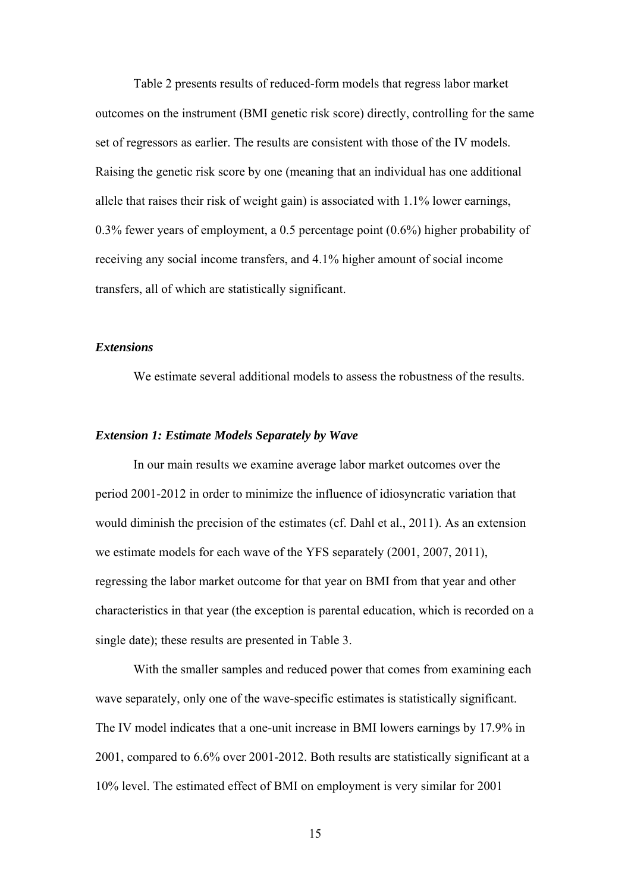Table 2 presents results of reduced-form models that regress labor market outcomes on the instrument (BMI genetic risk score) directly, controlling for the same set of regressors as earlier. The results are consistent with those of the IV models. Raising the genetic risk score by one (meaning that an individual has one additional allele that raises their risk of weight gain) is associated with 1.1% lower earnings, 0.3% fewer years of employment, a 0.5 percentage point (0.6%) higher probability of receiving any social income transfers, and 4.1% higher amount of social income transfers, all of which are statistically significant.

#### *Extensions*

We estimate several additional models to assess the robustness of the results.

#### *Extension 1: Estimate Models Separately by Wave*

In our main results we examine average labor market outcomes over the period 2001-2012 in order to minimize the influence of idiosyncratic variation that would diminish the precision of the estimates (cf. Dahl et al., 2011). As an extension we estimate models for each wave of the YFS separately (2001, 2007, 2011), regressing the labor market outcome for that year on BMI from that year and other characteristics in that year (the exception is parental education, which is recorded on a single date); these results are presented in Table 3.

With the smaller samples and reduced power that comes from examining each wave separately, only one of the wave-specific estimates is statistically significant. The IV model indicates that a one-unit increase in BMI lowers earnings by 17.9% in 2001, compared to 6.6% over 2001-2012. Both results are statistically significant at a 10% level. The estimated effect of BMI on employment is very similar for 2001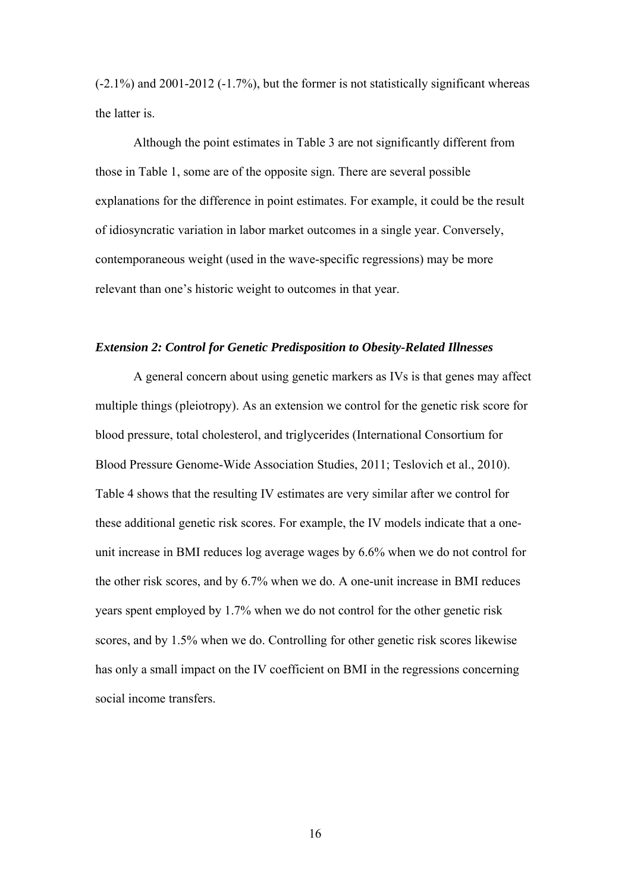(-2.1%) and 2001-2012 (-1.7%), but the former is not statistically significant whereas the latter is.

Although the point estimates in Table 3 are not significantly different from those in Table 1, some are of the opposite sign. There are several possible explanations for the difference in point estimates. For example, it could be the result of idiosyncratic variation in labor market outcomes in a single year. Conversely, contemporaneous weight (used in the wave-specific regressions) may be more relevant than one's historic weight to outcomes in that year.

#### *Extension 2: Control for Genetic Predisposition to Obesity-Related Illnesses*

 A general concern about using genetic markers as IVs is that genes may affect multiple things (pleiotropy). As an extension we control for the genetic risk score for blood pressure, total cholesterol, and triglycerides (International Consortium for Blood Pressure Genome-Wide Association Studies, 2011; Teslovich et al., 2010). Table 4 shows that the resulting IV estimates are very similar after we control for these additional genetic risk scores. For example, the IV models indicate that a oneunit increase in BMI reduces log average wages by 6.6% when we do not control for the other risk scores, and by 6.7% when we do. A one-unit increase in BMI reduces years spent employed by 1.7% when we do not control for the other genetic risk scores, and by 1.5% when we do. Controlling for other genetic risk scores likewise has only a small impact on the IV coefficient on BMI in the regressions concerning social income transfers.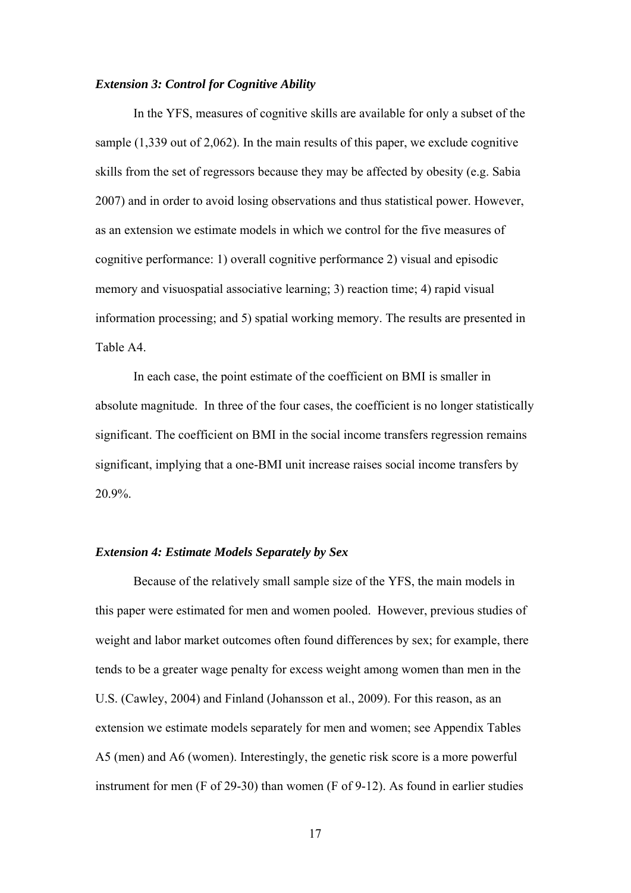#### *Extension 3: Control for Cognitive Ability*

 In the YFS, measures of cognitive skills are available for only a subset of the sample (1,339 out of 2,062). In the main results of this paper, we exclude cognitive skills from the set of regressors because they may be affected by obesity (e.g. Sabia 2007) and in order to avoid losing observations and thus statistical power. However, as an extension we estimate models in which we control for the five measures of cognitive performance: 1) overall cognitive performance 2) visual and episodic memory and visuospatial associative learning; 3) reaction time; 4) rapid visual information processing; and 5) spatial working memory. The results are presented in Table A4.

 In each case, the point estimate of the coefficient on BMI is smaller in absolute magnitude. In three of the four cases, the coefficient is no longer statistically significant. The coefficient on BMI in the social income transfers regression remains significant, implying that a one-BMI unit increase raises social income transfers by 20.9%.

#### *Extension 4: Estimate Models Separately by Sex*

Because of the relatively small sample size of the YFS, the main models in this paper were estimated for men and women pooled. However, previous studies of weight and labor market outcomes often found differences by sex; for example, there tends to be a greater wage penalty for excess weight among women than men in the U.S. (Cawley, 2004) and Finland (Johansson et al., 2009). For this reason, as an extension we estimate models separately for men and women; see Appendix Tables A5 (men) and A6 (women). Interestingly, the genetic risk score is a more powerful instrument for men (F of 29-30) than women (F of 9-12). As found in earlier studies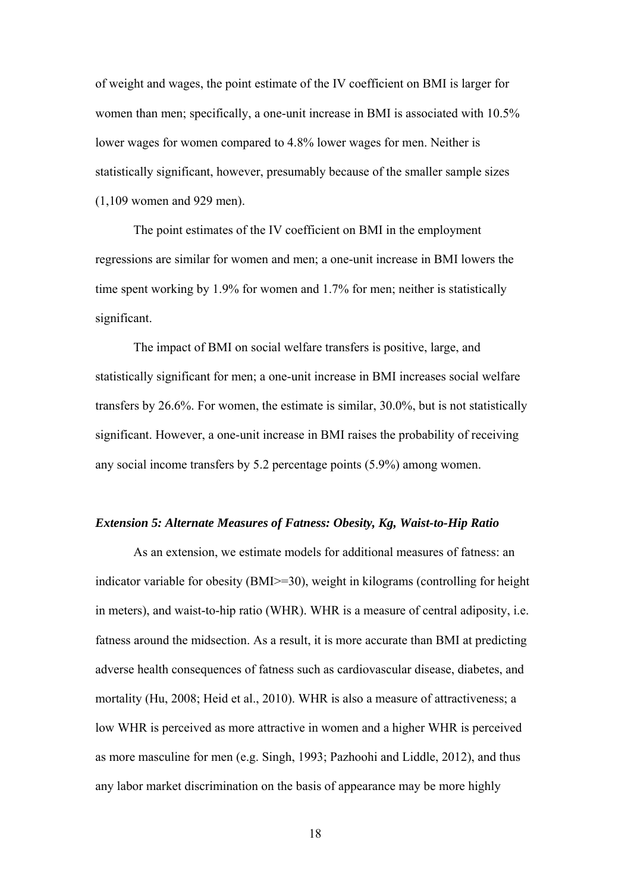of weight and wages, the point estimate of the IV coefficient on BMI is larger for women than men; specifically, a one-unit increase in BMI is associated with 10.5% lower wages for women compared to 4.8% lower wages for men. Neither is statistically significant, however, presumably because of the smaller sample sizes (1,109 women and 929 men).

The point estimates of the IV coefficient on BMI in the employment regressions are similar for women and men; a one-unit increase in BMI lowers the time spent working by 1.9% for women and 1.7% for men; neither is statistically significant.

The impact of BMI on social welfare transfers is positive, large, and statistically significant for men; a one-unit increase in BMI increases social welfare transfers by 26.6%. For women, the estimate is similar, 30.0%, but is not statistically significant. However, a one-unit increase in BMI raises the probability of receiving any social income transfers by 5.2 percentage points (5.9%) among women.

#### *Extension 5: Alternate Measures of Fatness: Obesity, Kg, Waist-to-Hip Ratio*

 As an extension, we estimate models for additional measures of fatness: an indicator variable for obesity (BMI>=30), weight in kilograms (controlling for height in meters), and waist-to-hip ratio (WHR). WHR is a measure of central adiposity, i.e. fatness around the midsection. As a result, it is more accurate than BMI at predicting adverse health consequences of fatness such as cardiovascular disease, diabetes, and mortality (Hu, 2008; Heid et al., 2010). WHR is also a measure of attractiveness; a low WHR is perceived as more attractive in women and a higher WHR is perceived as more masculine for men (e.g. Singh, 1993; Pazhoohi and Liddle, 2012), and thus any labor market discrimination on the basis of appearance may be more highly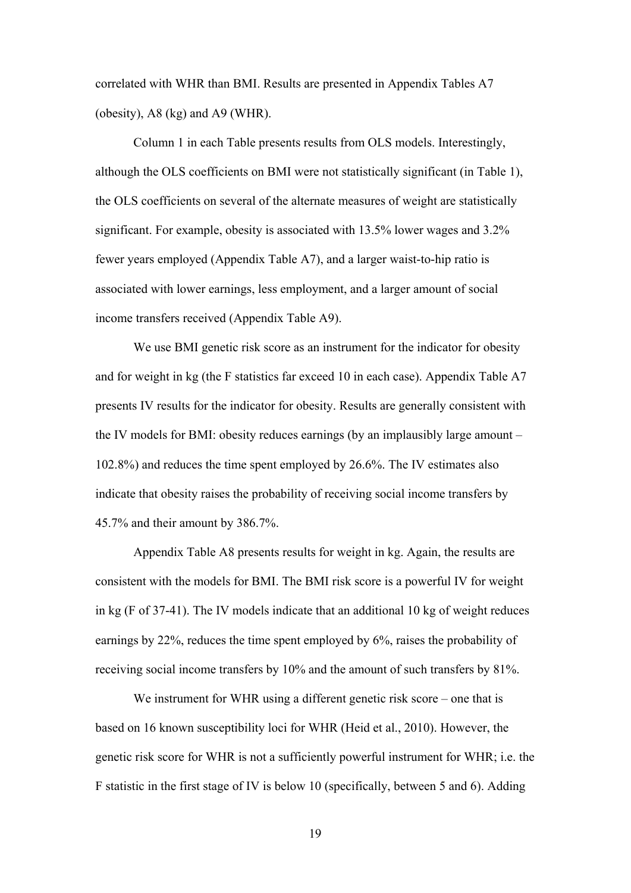correlated with WHR than BMI. Results are presented in Appendix Tables A7 (obesity), A8 (kg) and A9 (WHR).

 Column 1 in each Table presents results from OLS models. Interestingly, although the OLS coefficients on BMI were not statistically significant (in Table 1), the OLS coefficients on several of the alternate measures of weight are statistically significant. For example, obesity is associated with 13.5% lower wages and 3.2% fewer years employed (Appendix Table A7), and a larger waist-to-hip ratio is associated with lower earnings, less employment, and a larger amount of social income transfers received (Appendix Table A9).

We use BMI genetic risk score as an instrument for the indicator for obesity and for weight in kg (the F statistics far exceed 10 in each case). Appendix Table A7 presents IV results for the indicator for obesity. Results are generally consistent with the IV models for BMI: obesity reduces earnings (by an implausibly large amount – 102.8%) and reduces the time spent employed by 26.6%. The IV estimates also indicate that obesity raises the probability of receiving social income transfers by 45.7% and their amount by 386.7%.

Appendix Table A8 presents results for weight in kg. Again, the results are consistent with the models for BMI. The BMI risk score is a powerful IV for weight in kg (F of 37-41). The IV models indicate that an additional 10 kg of weight reduces earnings by 22%, reduces the time spent employed by 6%, raises the probability of receiving social income transfers by 10% and the amount of such transfers by 81%.

We instrument for WHR using a different genetic risk score – one that is based on 16 known susceptibility loci for WHR (Heid et al., 2010). However, the genetic risk score for WHR is not a sufficiently powerful instrument for WHR; i.e. the F statistic in the first stage of IV is below 10 (specifically, between 5 and 6). Adding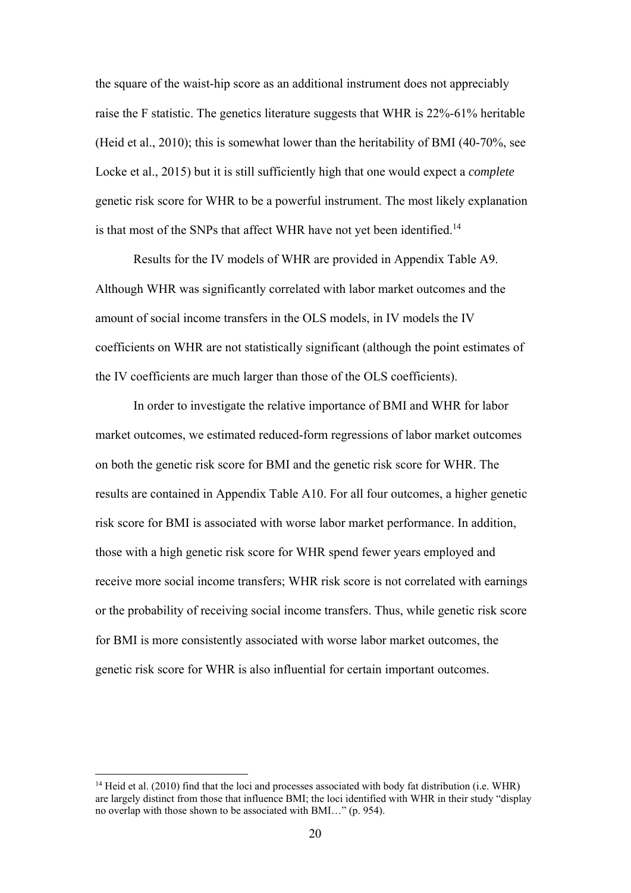the square of the waist-hip score as an additional instrument does not appreciably raise the F statistic. The genetics literature suggests that WHR is 22%-61% heritable (Heid et al., 2010); this is somewhat lower than the heritability of BMI (40-70%, see Locke et al., 2015) but it is still sufficiently high that one would expect a *complete* genetic risk score for WHR to be a powerful instrument. The most likely explanation is that most of the SNPs that affect WHR have not yet been identified.<sup>14</sup>

Results for the IV models of WHR are provided in Appendix Table A9. Although WHR was significantly correlated with labor market outcomes and the amount of social income transfers in the OLS models, in IV models the IV coefficients on WHR are not statistically significant (although the point estimates of the IV coefficients are much larger than those of the OLS coefficients).

In order to investigate the relative importance of BMI and WHR for labor market outcomes, we estimated reduced-form regressions of labor market outcomes on both the genetic risk score for BMI and the genetic risk score for WHR. The results are contained in Appendix Table A10. For all four outcomes, a higher genetic risk score for BMI is associated with worse labor market performance. In addition, those with a high genetic risk score for WHR spend fewer years employed and receive more social income transfers; WHR risk score is not correlated with earnings or the probability of receiving social income transfers. Thus, while genetic risk score for BMI is more consistently associated with worse labor market outcomes, the genetic risk score for WHR is also influential for certain important outcomes.

<sup>&</sup>lt;sup>14</sup> Heid et al. (2010) find that the loci and processes associated with body fat distribution (i.e. WHR) are largely distinct from those that influence BMI; the loci identified with WHR in their study "display no overlap with those shown to be associated with BMI…" (p. 954).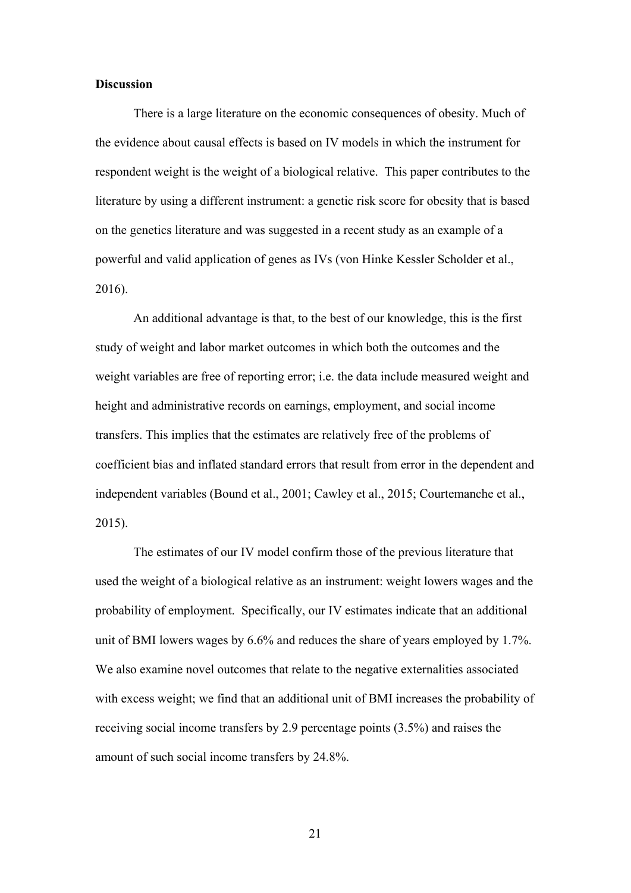#### **Discussion**

There is a large literature on the economic consequences of obesity. Much of the evidence about causal effects is based on IV models in which the instrument for respondent weight is the weight of a biological relative. This paper contributes to the literature by using a different instrument: a genetic risk score for obesity that is based on the genetics literature and was suggested in a recent study as an example of a powerful and valid application of genes as IVs (von Hinke Kessler Scholder et al., 2016).

An additional advantage is that, to the best of our knowledge, this is the first study of weight and labor market outcomes in which both the outcomes and the weight variables are free of reporting error; i.e. the data include measured weight and height and administrative records on earnings, employment, and social income transfers. This implies that the estimates are relatively free of the problems of coefficient bias and inflated standard errors that result from error in the dependent and independent variables (Bound et al., 2001; Cawley et al., 2015; Courtemanche et al., 2015).

The estimates of our IV model confirm those of the previous literature that used the weight of a biological relative as an instrument: weight lowers wages and the probability of employment. Specifically, our IV estimates indicate that an additional unit of BMI lowers wages by 6.6% and reduces the share of years employed by 1.7%. We also examine novel outcomes that relate to the negative externalities associated with excess weight; we find that an additional unit of BMI increases the probability of receiving social income transfers by 2.9 percentage points (3.5%) and raises the amount of such social income transfers by 24.8%.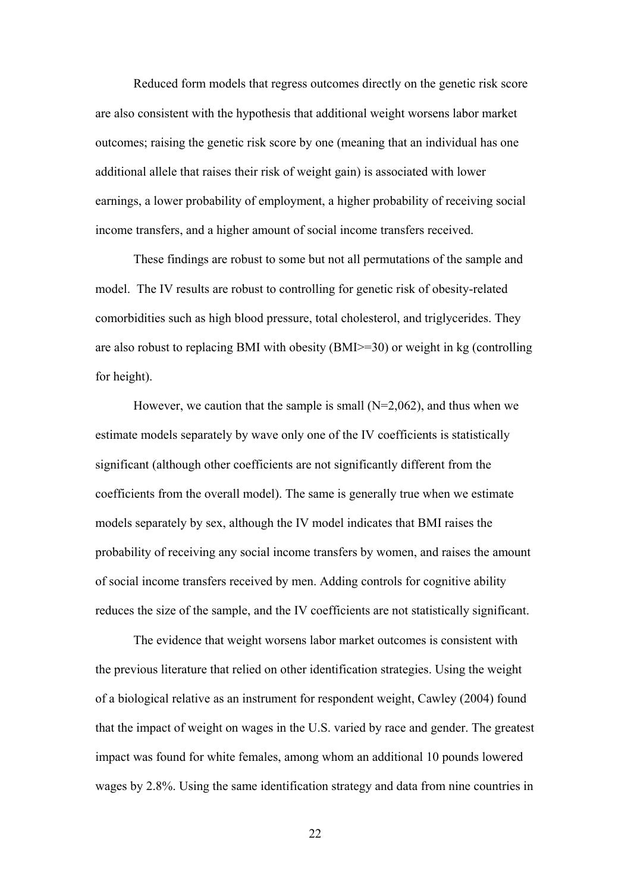Reduced form models that regress outcomes directly on the genetic risk score are also consistent with the hypothesis that additional weight worsens labor market outcomes; raising the genetic risk score by one (meaning that an individual has one additional allele that raises their risk of weight gain) is associated with lower earnings, a lower probability of employment, a higher probability of receiving social income transfers, and a higher amount of social income transfers received.

These findings are robust to some but not all permutations of the sample and model. The IV results are robust to controlling for genetic risk of obesity-related comorbidities such as high blood pressure, total cholesterol, and triglycerides. They are also robust to replacing BMI with obesity (BMI>=30) or weight in kg (controlling for height).

However, we caution that the sample is small  $(N=2,062)$ , and thus when we estimate models separately by wave only one of the IV coefficients is statistically significant (although other coefficients are not significantly different from the coefficients from the overall model). The same is generally true when we estimate models separately by sex, although the IV model indicates that BMI raises the probability of receiving any social income transfers by women, and raises the amount of social income transfers received by men. Adding controls for cognitive ability reduces the size of the sample, and the IV coefficients are not statistically significant.

The evidence that weight worsens labor market outcomes is consistent with the previous literature that relied on other identification strategies. Using the weight of a biological relative as an instrument for respondent weight, Cawley (2004) found that the impact of weight on wages in the U.S. varied by race and gender. The greatest impact was found for white females, among whom an additional 10 pounds lowered wages by 2.8%. Using the same identification strategy and data from nine countries in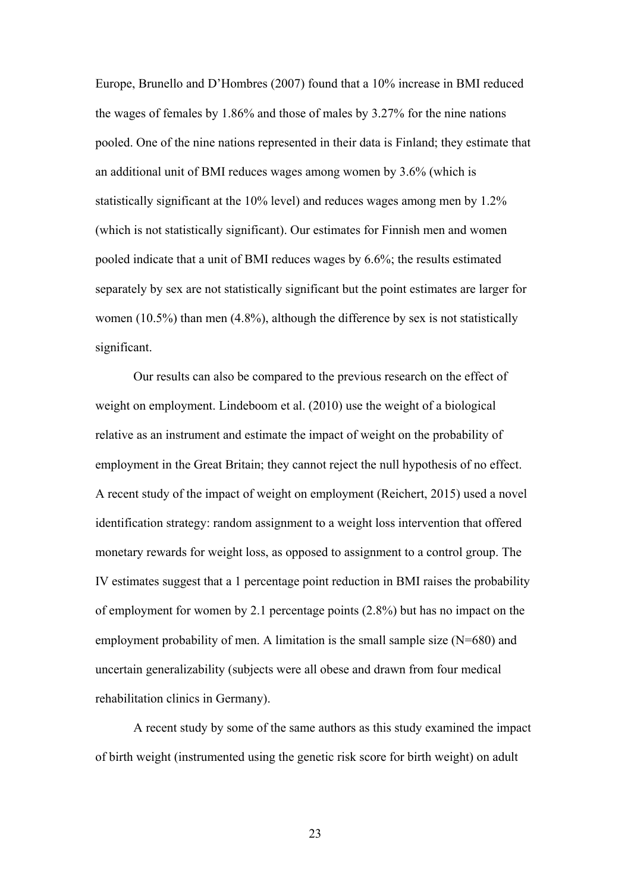Europe, Brunello and D'Hombres (2007) found that a 10% increase in BMI reduced the wages of females by 1.86% and those of males by 3.27% for the nine nations pooled. One of the nine nations represented in their data is Finland; they estimate that an additional unit of BMI reduces wages among women by 3.6% (which is statistically significant at the 10% level) and reduces wages among men by 1.2% (which is not statistically significant). Our estimates for Finnish men and women pooled indicate that a unit of BMI reduces wages by 6.6%; the results estimated separately by sex are not statistically significant but the point estimates are larger for women (10.5%) than men (4.8%), although the difference by sex is not statistically significant.

Our results can also be compared to the previous research on the effect of weight on employment. Lindeboom et al. (2010) use the weight of a biological relative as an instrument and estimate the impact of weight on the probability of employment in the Great Britain; they cannot reject the null hypothesis of no effect. A recent study of the impact of weight on employment (Reichert, 2015) used a novel identification strategy: random assignment to a weight loss intervention that offered monetary rewards for weight loss, as opposed to assignment to a control group. The IV estimates suggest that a 1 percentage point reduction in BMI raises the probability of employment for women by 2.1 percentage points (2.8%) but has no impact on the employment probability of men. A limitation is the small sample size  $(N=680)$  and uncertain generalizability (subjects were all obese and drawn from four medical rehabilitation clinics in Germany).

A recent study by some of the same authors as this study examined the impact of birth weight (instrumented using the genetic risk score for birth weight) on adult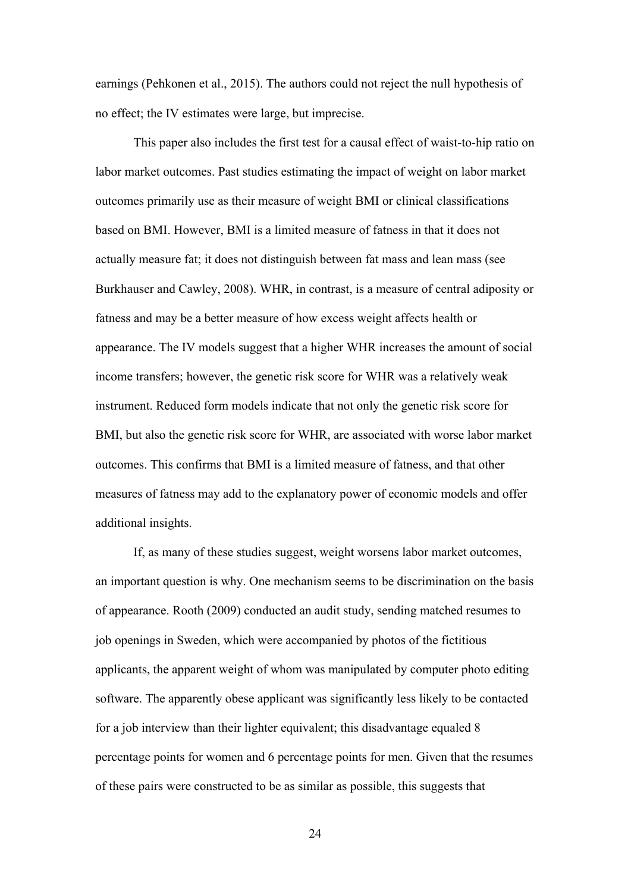earnings (Pehkonen et al., 2015). The authors could not reject the null hypothesis of no effect; the IV estimates were large, but imprecise.

This paper also includes the first test for a causal effect of waist-to-hip ratio on labor market outcomes. Past studies estimating the impact of weight on labor market outcomes primarily use as their measure of weight BMI or clinical classifications based on BMI. However, BMI is a limited measure of fatness in that it does not actually measure fat; it does not distinguish between fat mass and lean mass (see Burkhauser and Cawley, 2008). WHR, in contrast, is a measure of central adiposity or fatness and may be a better measure of how excess weight affects health or appearance. The IV models suggest that a higher WHR increases the amount of social income transfers; however, the genetic risk score for WHR was a relatively weak instrument. Reduced form models indicate that not only the genetic risk score for BMI, but also the genetic risk score for WHR, are associated with worse labor market outcomes. This confirms that BMI is a limited measure of fatness, and that other measures of fatness may add to the explanatory power of economic models and offer additional insights.

 If, as many of these studies suggest, weight worsens labor market outcomes, an important question is why. One mechanism seems to be discrimination on the basis of appearance. Rooth (2009) conducted an audit study, sending matched resumes to job openings in Sweden, which were accompanied by photos of the fictitious applicants, the apparent weight of whom was manipulated by computer photo editing software. The apparently obese applicant was significantly less likely to be contacted for a job interview than their lighter equivalent; this disadvantage equaled 8 percentage points for women and 6 percentage points for men. Given that the resumes of these pairs were constructed to be as similar as possible, this suggests that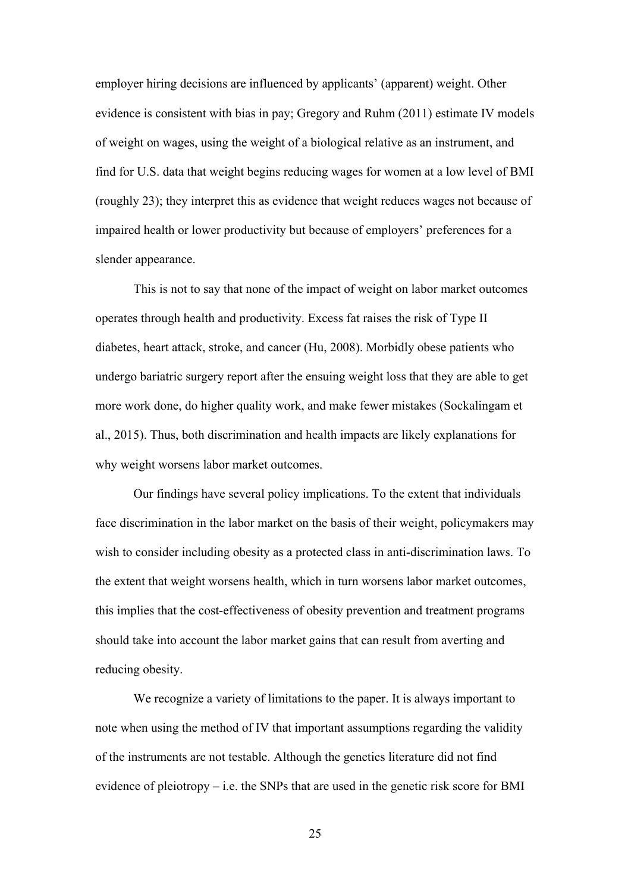employer hiring decisions are influenced by applicants' (apparent) weight. Other evidence is consistent with bias in pay; Gregory and Ruhm (2011) estimate IV models of weight on wages, using the weight of a biological relative as an instrument, and find for U.S. data that weight begins reducing wages for women at a low level of BMI (roughly 23); they interpret this as evidence that weight reduces wages not because of impaired health or lower productivity but because of employers' preferences for a slender appearance.

 This is not to say that none of the impact of weight on labor market outcomes operates through health and productivity. Excess fat raises the risk of Type II diabetes, heart attack, stroke, and cancer (Hu, 2008). Morbidly obese patients who undergo bariatric surgery report after the ensuing weight loss that they are able to get more work done, do higher quality work, and make fewer mistakes (Sockalingam et al., 2015). Thus, both discrimination and health impacts are likely explanations for why weight worsens labor market outcomes.

 Our findings have several policy implications. To the extent that individuals face discrimination in the labor market on the basis of their weight, policymakers may wish to consider including obesity as a protected class in anti-discrimination laws. To the extent that weight worsens health, which in turn worsens labor market outcomes, this implies that the cost-effectiveness of obesity prevention and treatment programs should take into account the labor market gains that can result from averting and reducing obesity.

 We recognize a variety of limitations to the paper. It is always important to note when using the method of IV that important assumptions regarding the validity of the instruments are not testable. Although the genetics literature did not find evidence of pleiotropy – i.e. the SNPs that are used in the genetic risk score for BMI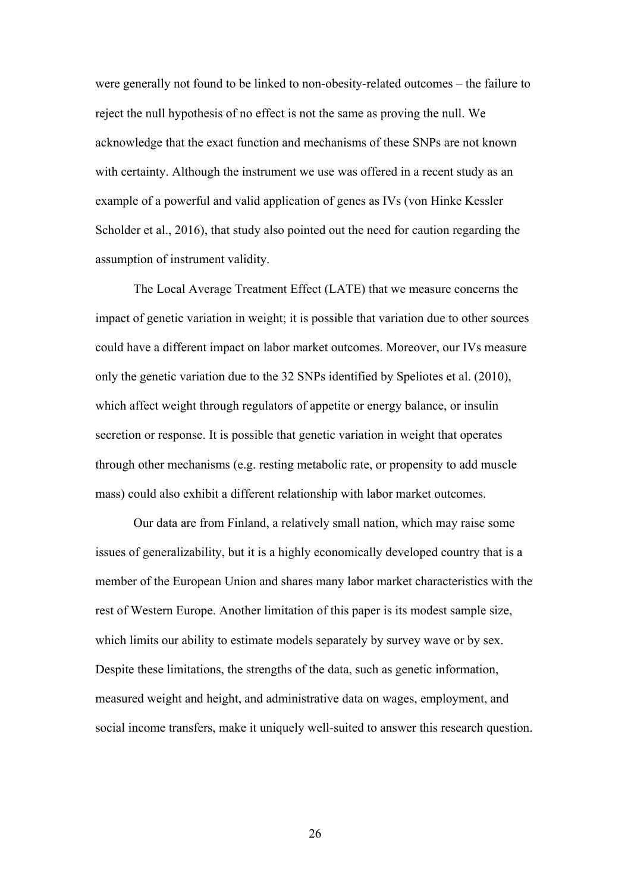were generally not found to be linked to non-obesity-related outcomes – the failure to reject the null hypothesis of no effect is not the same as proving the null. We acknowledge that the exact function and mechanisms of these SNPs are not known with certainty. Although the instrument we use was offered in a recent study as an example of a powerful and valid application of genes as IVs (von Hinke Kessler Scholder et al., 2016), that study also pointed out the need for caution regarding the assumption of instrument validity.

The Local Average Treatment Effect (LATE) that we measure concerns the impact of genetic variation in weight; it is possible that variation due to other sources could have a different impact on labor market outcomes. Moreover, our IVs measure only the genetic variation due to the 32 SNPs identified by Speliotes et al. (2010), which affect weight through regulators of appetite or energy balance, or insulin secretion or response. It is possible that genetic variation in weight that operates through other mechanisms (e.g. resting metabolic rate, or propensity to add muscle mass) could also exhibit a different relationship with labor market outcomes.

Our data are from Finland, a relatively small nation, which may raise some issues of generalizability, but it is a highly economically developed country that is a member of the European Union and shares many labor market characteristics with the rest of Western Europe. Another limitation of this paper is its modest sample size, which limits our ability to estimate models separately by survey wave or by sex. Despite these limitations, the strengths of the data, such as genetic information, measured weight and height, and administrative data on wages, employment, and social income transfers, make it uniquely well-suited to answer this research question.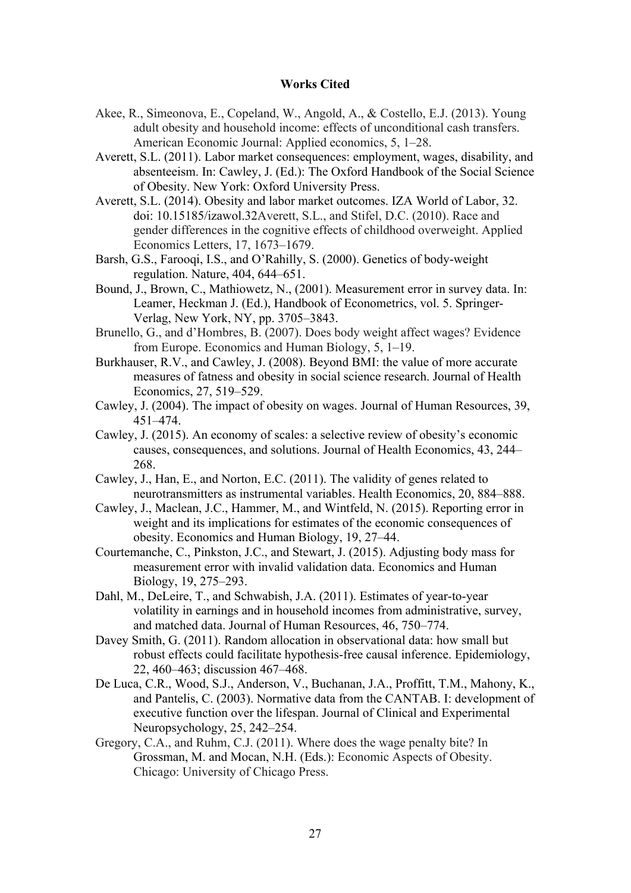#### **Works Cited**

- Akee, R., Simeonova, E., Copeland, W., Angold, A., & Costello, E.J. (2013). Young adult obesity and household income: effects of unconditional cash transfers. American Economic Journal: Applied economics, 5, 1–28.
- Averett, S.L. (2011). Labor market consequences: employment, wages, disability, and absenteeism. In: Cawley, J. (Ed.): The Oxford Handbook of the Social Science of Obesity. New York: Oxford University Press.
- Averett, S.L. (2014). Obesity and labor market outcomes. IZA World of Labor, 32. doi: 10.15185/izawol.32Averett, S.L., and Stifel, D.C. (2010). Race and gender differences in the cognitive effects of childhood overweight. Applied Economics Letters, 17, 1673–1679.
- Barsh, G.S., Farooqi, I.S., and O'Rahilly, S. (2000). Genetics of body-weight regulation. Nature, 404, 644–651.
- Bound, J., Brown, C., Mathiowetz, N., (2001). Measurement error in survey data. In: Leamer, Heckman J. (Ed.), Handbook of Econometrics, vol. 5. Springer-Verlag, New York, NY, pp. 3705–3843.
- Brunello, G., and d'Hombres, B. (2007). Does body weight affect wages? Evidence from Europe. Economics and Human Biology, 5, 1–19.
- Burkhauser, R.V., and Cawley, J. (2008). Beyond BMI: the value of more accurate measures of fatness and obesity in social science research. Journal of Health Economics, 27, 519–529.
- Cawley, J. (2004). The impact of obesity on wages. Journal of Human Resources, 39, 451–474.
- Cawley, J. (2015). An economy of scales: a selective review of obesity's economic causes, consequences, and solutions. Journal of Health Economics, 43, 244– 268.
- Cawley, J., Han, E., and Norton, E.C. (2011). The validity of genes related to neurotransmitters as instrumental variables. Health Economics, 20, 884–888.
- Cawley, J., Maclean, J.C., Hammer, M., and Wintfeld, N. (2015). Reporting error in weight and its implications for estimates of the economic consequences of obesity. Economics and Human Biology, 19, 27–44.
- Courtemanche, C., Pinkston, J.C., and Stewart, J. (2015). Adjusting body mass for measurement error with invalid validation data. Economics and Human Biology, 19, 275–293.
- Dahl, M., DeLeire, T., and Schwabish, J.A. (2011). Estimates of year-to-year volatility in earnings and in household incomes from administrative, survey, and matched data. Journal of Human Resources, 46, 750–774.
- Davey Smith, G. (2011). Random allocation in observational data: how small but robust effects could facilitate hypothesis-free causal inference. Epidemiology, 22, 460–463; discussion 467–468.
- De Luca, C.R., Wood, S.J., Anderson, V., Buchanan, J.A., Proffitt, T.M., Mahony, K., and Pantelis, C. (2003). Normative data from the CANTAB. I: development of executive function over the lifespan. Journal of Clinical and Experimental Neuropsychology, 25, 242–254.
- Gregory, C.A., and Ruhm, C.J. (2011). Where does the wage penalty bite? In Grossman, M. and Mocan, N.H. (Eds.): Economic Aspects of Obesity. Chicago: University of Chicago Press.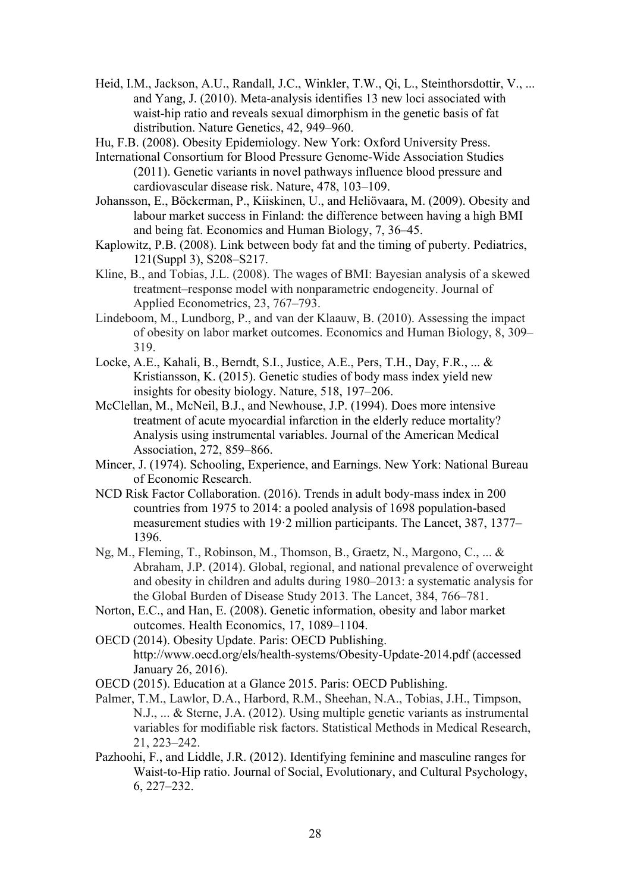- Heid, I.M., Jackson, A.U., Randall, J.C., Winkler, T.W., Qi, L., Steinthorsdottir, V., ... and Yang, J. (2010). Meta-analysis identifies 13 new loci associated with waist-hip ratio and reveals sexual dimorphism in the genetic basis of fat distribution. Nature Genetics, 42, 949–960.
- Hu, F.B. (2008). Obesity Epidemiology. New York: Oxford University Press.
- International Consortium for Blood Pressure Genome-Wide Association Studies (2011). Genetic variants in novel pathways influence blood pressure and cardiovascular disease risk. Nature, 478, 103–109.
- Johansson, E., Böckerman, P., Kiiskinen, U., and Heliövaara, M. (2009). Obesity and labour market success in Finland: the difference between having a high BMI and being fat. Economics and Human Biology, 7, 36–45.
- Kaplowitz, P.B. (2008). Link between body fat and the timing of puberty. Pediatrics, 121(Suppl 3), S208–S217.
- Kline, B., and Tobias, J.L. (2008). The wages of BMI: Bayesian analysis of a skewed treatment–response model with nonparametric endogeneity. Journal of Applied Econometrics, 23, 767–793.
- Lindeboom, M., Lundborg, P., and van der Klaauw, B. (2010). Assessing the impact of obesity on labor market outcomes. Economics and Human Biology, 8, 309– 319.
- Locke, A.E., Kahali, B., Berndt, S.I., Justice, A.E., Pers, T.H., Day, F.R., ... & Kristiansson, K. (2015). Genetic studies of body mass index yield new insights for obesity biology. Nature, 518, 197–206.
- McClellan, M., McNeil, B.J., and Newhouse, J.P. (1994). Does more intensive treatment of acute myocardial infarction in the elderly reduce mortality? Analysis using instrumental variables. Journal of the American Medical Association, 272, 859–866.
- Mincer, J. (1974). Schooling, Experience, and Earnings. New York: National Bureau of Economic Research.
- NCD Risk Factor Collaboration. (2016). Trends in adult body-mass index in 200 countries from 1975 to 2014: a pooled analysis of 1698 population-based measurement studies with 19·2 million participants. The Lancet, 387, 1377– 1396.
- Ng, M., Fleming, T., Robinson, M., Thomson, B., Graetz, N., Margono, C., ... & Abraham, J.P. (2014). Global, regional, and national prevalence of overweight and obesity in children and adults during 1980–2013: a systematic analysis for the Global Burden of Disease Study 2013. The Lancet, 384, 766–781.
- Norton, E.C., and Han, E. (2008). Genetic information, obesity and labor market outcomes. Health Economics, 17, 1089–1104.
- OECD (2014). Obesity Update. Paris: OECD Publishing. http://www.oecd.org/els/health-systems/Obesity-Update-2014.pdf (accessed January 26, 2016).
- OECD (2015). Education at a Glance 2015. Paris: OECD Publishing.
- Palmer, T.M., Lawlor, D.A., Harbord, R.M., Sheehan, N.A., Tobias, J.H., Timpson, N.J., ... & Sterne, J.A. (2012). Using multiple genetic variants as instrumental variables for modifiable risk factors. Statistical Methods in Medical Research, 21, 223–242.
- Pazhoohi, F., and Liddle, J.R. (2012). Identifying feminine and masculine ranges for Waist-to-Hip ratio. Journal of Social, Evolutionary, and Cultural Psychology, 6, 227–232.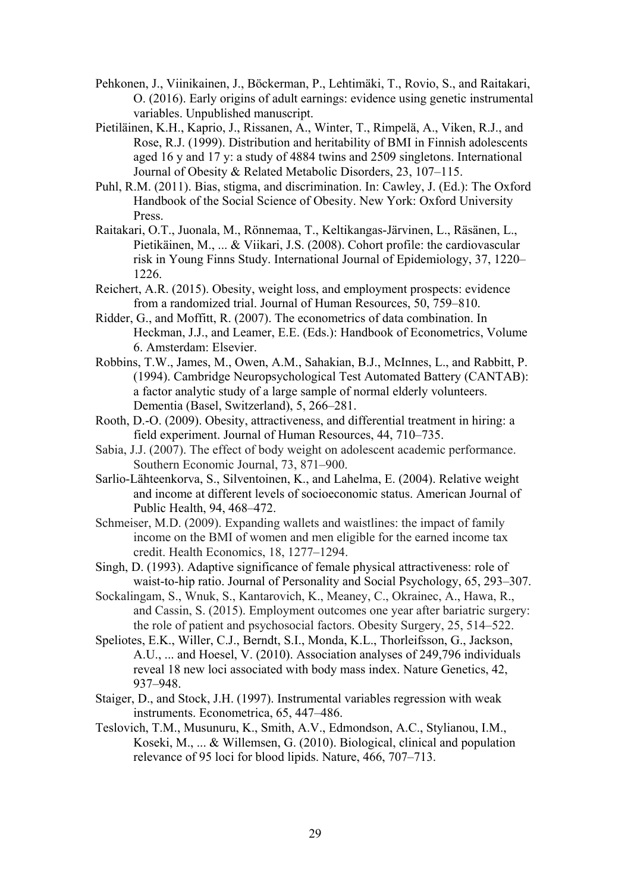- Pehkonen, J., Viinikainen, J., Böckerman, P., Lehtimäki, T., Rovio, S., and Raitakari, O. (2016). Early origins of adult earnings: evidence using genetic instrumental variables. Unpublished manuscript.
- Pietiläinen, K.H., Kaprio, J., Rissanen, A., Winter, T., Rimpelä, A., Viken, R.J., and Rose, R.J. (1999). Distribution and heritability of BMI in Finnish adolescents aged 16 y and 17 y: a study of 4884 twins and 2509 singletons. International Journal of Obesity & Related Metabolic Disorders, 23, 107–115.
- Puhl, R.M. (2011). Bias, stigma, and discrimination. In: Cawley, J. (Ed.): The Oxford Handbook of the Social Science of Obesity. New York: Oxford University Press.
- Raitakari, O.T., Juonala, M., Rönnemaa, T., Keltikangas-Järvinen, L., Räsänen, L., Pietikäinen, M., ... & Viikari, J.S. (2008). Cohort profile: the cardiovascular risk in Young Finns Study. International Journal of Epidemiology, 37, 1220– 1226.
- Reichert, A.R. (2015). Obesity, weight loss, and employment prospects: evidence from a randomized trial. Journal of Human Resources, 50, 759–810.
- Ridder, G., and Moffitt, R. (2007). The econometrics of data combination. In Heckman, J.J., and Leamer, E.E. (Eds.): Handbook of Econometrics, Volume 6. Amsterdam: Elsevier.
- Robbins, T.W., James, M., Owen, A.M., Sahakian, B.J., McInnes, L., and Rabbitt, P. (1994). Cambridge Neuropsychological Test Automated Battery (CANTAB): a factor analytic study of a large sample of normal elderly volunteers. Dementia (Basel, Switzerland), 5, 266–281.
- Rooth, D.-O. (2009). Obesity, attractiveness, and differential treatment in hiring: a field experiment. Journal of Human Resources, 44, 710–735.
- Sabia, J.J. (2007). The effect of body weight on adolescent academic performance. Southern Economic Journal, 73, 871–900.
- Sarlio-Lähteenkorva, S., Silventoinen, K., and Lahelma, E. (2004). Relative weight and income at different levels of socioeconomic status. American Journal of Public Health, 94, 468–472.
- Schmeiser, M.D. (2009). Expanding wallets and waistlines: the impact of family income on the BMI of women and men eligible for the earned income tax credit. Health Economics, 18, 1277–1294.
- Singh, D. (1993). Adaptive significance of female physical attractiveness: role of waist-to-hip ratio. Journal of Personality and Social Psychology, 65, 293–307.
- Sockalingam, S., Wnuk, S., Kantarovich, K., Meaney, C., Okrainec, A., Hawa, R., and Cassin, S. (2015). Employment outcomes one year after bariatric surgery: the role of patient and psychosocial factors. Obesity Surgery, 25, 514–522.
- Speliotes, E.K., Willer, C.J., Berndt, S.I., Monda, K.L., Thorleifsson, G., Jackson, A.U., ... and Hoesel, V. (2010). Association analyses of 249,796 individuals reveal 18 new loci associated with body mass index. Nature Genetics, 42, 937–948.
- Staiger, D., and Stock, J.H. (1997). Instrumental variables regression with weak instruments. Econometrica, 65, 447–486.
- Teslovich, T.M., Musunuru, K., Smith, A.V., Edmondson, A.C., Stylianou, I.M., Koseki, M., ... & Willemsen, G. (2010). Biological, clinical and population relevance of 95 loci for blood lipids. Nature, 466, 707–713.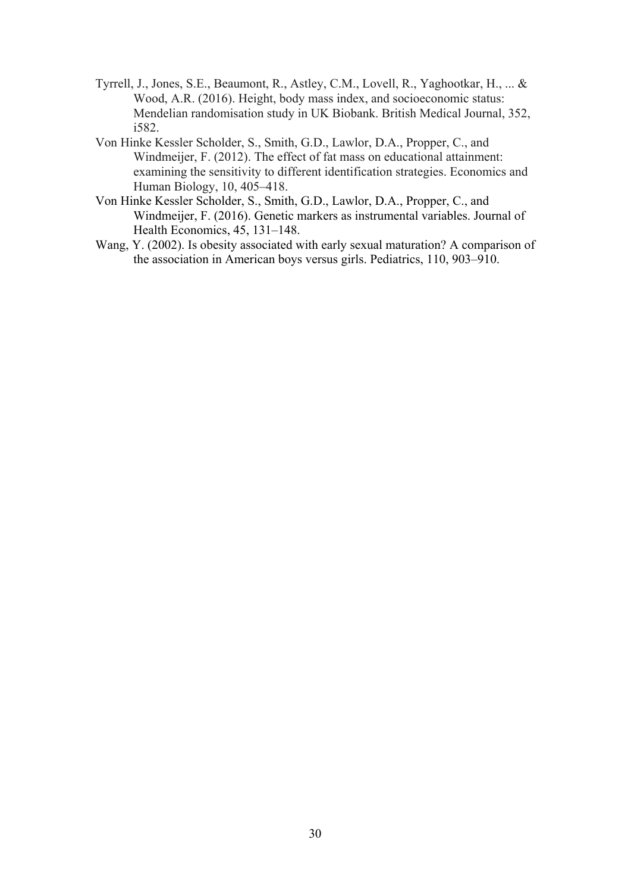- Tyrrell, J., Jones, S.E., Beaumont, R., Astley, C.M., Lovell, R., Yaghootkar, H., ... & Wood, A.R. (2016). Height, body mass index, and socioeconomic status: Mendelian randomisation study in UK Biobank. British Medical Journal, 352, i582.
- Von Hinke Kessler Scholder, S., Smith, G.D., Lawlor, D.A., Propper, C., and Windmeijer, F. (2012). The effect of fat mass on educational attainment: examining the sensitivity to different identification strategies. Economics and Human Biology, 10, 405–418.
- Von Hinke Kessler Scholder, S., Smith, G.D., Lawlor, D.A., Propper, C., and Windmeijer, F. (2016). Genetic markers as instrumental variables. Journal of Health Economics, 45, 131–148.
- Wang, Y. (2002). Is obesity associated with early sexual maturation? A comparison of the association in American boys versus girls. Pediatrics, 110, 903–910.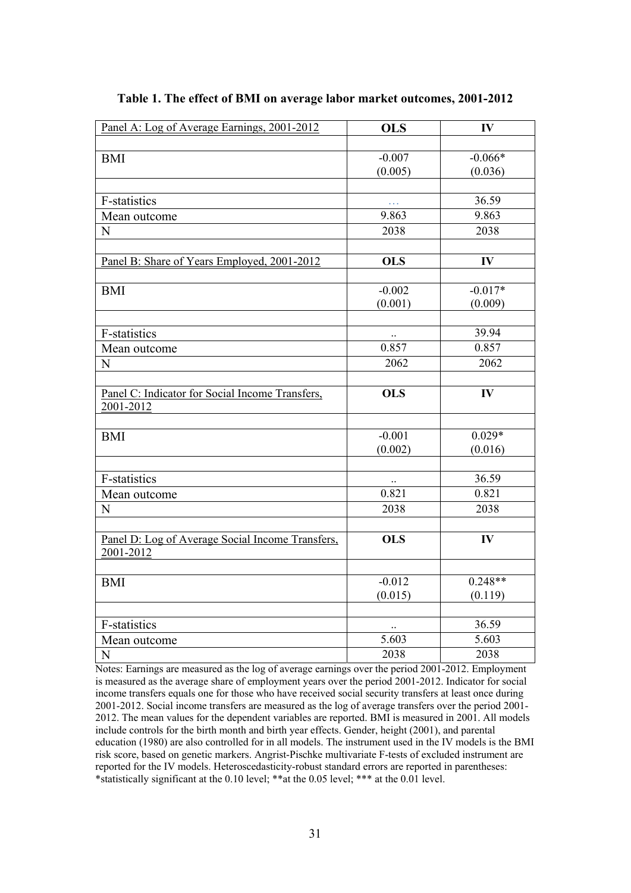| Panel A: Log of Average Earnings, 2001-2012      | <b>OLS</b>       | IV        |
|--------------------------------------------------|------------------|-----------|
|                                                  |                  |           |
| <b>BMI</b>                                       | $-0.007$         | $-0.066*$ |
|                                                  | (0.005)          | (0.036)   |
|                                                  |                  |           |
| F-statistics                                     | $\Box$ .         | 36.59     |
| Mean outcome                                     | 9.863            | 9.863     |
| $\mathbf N$                                      | 2038             | 2038      |
|                                                  |                  |           |
| Panel B: Share of Years Employed, 2001-2012      | <b>OLS</b>       | IV        |
|                                                  |                  |           |
| <b>BMI</b>                                       | $-0.002$         | $-0.017*$ |
|                                                  | (0.001)          | (0.009)   |
|                                                  |                  |           |
| F-statistics                                     |                  | 39.94     |
| Mean outcome                                     | 0.857            | 0.857     |
| ${\bf N}$                                        | 2062             | 2062      |
|                                                  |                  |           |
| Panel C: Indicator for Social Income Transfers,  | $\overline{OLS}$ | IV        |
| 2001-2012                                        |                  |           |
|                                                  |                  |           |
| <b>BMI</b>                                       | $-0.001$         | $0.029*$  |
|                                                  | (0.002)          | (0.016)   |
|                                                  |                  |           |
| F-statistics                                     | $\ddotsc$        | 36.59     |
| Mean outcome                                     | 0.821            | 0.821     |
| ${\bf N}$                                        | 2038             | 2038      |
|                                                  |                  |           |
| Panel D: Log of Average Social Income Transfers, | <b>OLS</b>       | IV        |
| 2001-2012                                        |                  |           |
|                                                  |                  |           |
| <b>BMI</b>                                       | $-0.012$         | $0.248**$ |
|                                                  | (0.015)          | (0.119)   |
|                                                  |                  |           |
| F-statistics                                     | $\ddotsc$        | 36.59     |
| Mean outcome                                     | 5.603            | 5.603     |
| $\overline{N}$                                   | 2038             | 2038      |

#### **Table 1. The effect of BMI on average labor market outcomes, 2001-2012**

Notes: Earnings are measured as the log of average earnings over the period 2001-2012. Employment is measured as the average share of employment years over the period 2001-2012. Indicator for social income transfers equals one for those who have received social security transfers at least once during 2001-2012. Social income transfers are measured as the log of average transfers over the period 2001- 2012. The mean values for the dependent variables are reported. BMI is measured in 2001. All models include controls for the birth month and birth year effects. Gender, height (2001), and parental education (1980) are also controlled for in all models. The instrument used in the IV models is the BMI risk score, based on genetic markers. Angrist-Pischke multivariate F-tests of excluded instrument are reported for the IV models. Heteroscedasticity-robust standard errors are reported in parentheses: \*statistically significant at the 0.10 level; \*\*\*at the 0.05 level; \*\*\* at the 0.01 level.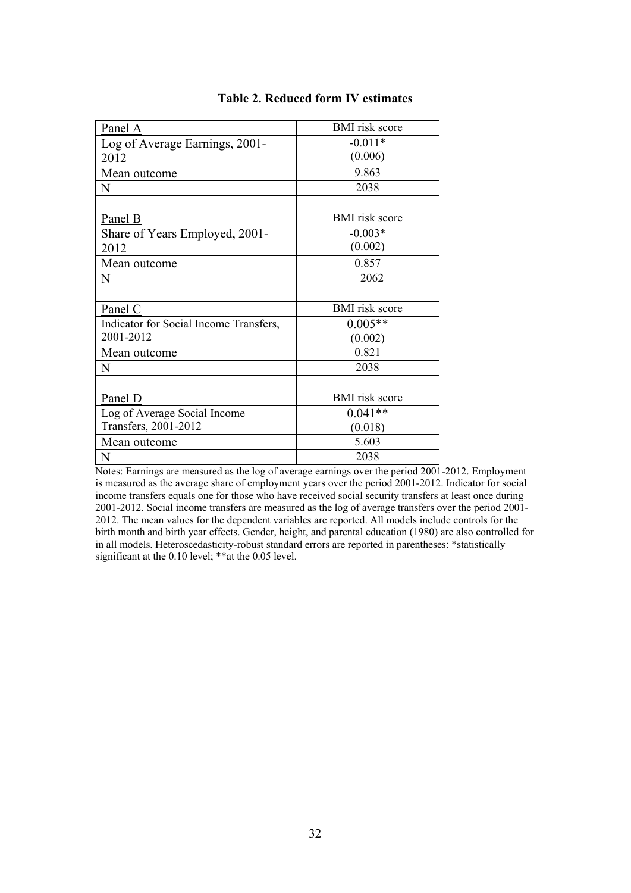| Panel A                                | <b>BMI</b> risk score |
|----------------------------------------|-----------------------|
| Log of Average Earnings, 2001-         | $-0.011*$             |
| 2012                                   | (0.006)               |
| Mean outcome                           | 9.863                 |
| N                                      | 2038                  |
|                                        |                       |
| Panel B                                | <b>BMI</b> risk score |
| Share of Years Employed, 2001-         | $-0.003*$             |
| 2012                                   | (0.002)               |
| Mean outcome                           | 0.857                 |
| N                                      | 2062                  |
|                                        |                       |
| Panel C                                | <b>BMI</b> risk score |
| Indicator for Social Income Transfers, | $0.005**$             |
| 2001-2012                              | (0.002)               |
| Mean outcome                           | 0.821                 |
| N                                      | 2038                  |
|                                        |                       |
| Panel D                                | <b>BMI</b> risk score |
| Log of Average Social Income           | $0.041**$             |
| Transfers, 2001-2012                   | (0.018)               |
| Mean outcome                           | 5.603                 |
| N                                      | 2038                  |

#### **Table 2. Reduced form IV estimates**

Notes: Earnings are measured as the log of average earnings over the period 2001-2012. Employment is measured as the average share of employment years over the period 2001-2012. Indicator for social income transfers equals one for those who have received social security transfers at least once during 2001-2012. Social income transfers are measured as the log of average transfers over the period 2001- 2012. The mean values for the dependent variables are reported. All models include controls for the birth month and birth year effects. Gender, height, and parental education (1980) are also controlled for in all models. Heteroscedasticity-robust standard errors are reported in parentheses: \*statistically significant at the  $0.10$  level; \*\*at the  $0.05$  level.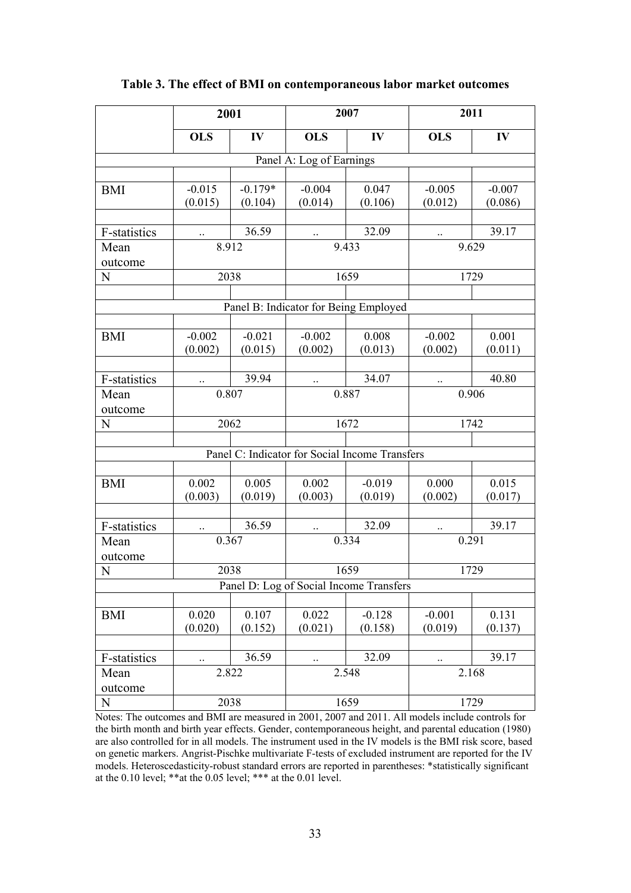|                                                | 2001                |                      | 2007                     |                                       | 2011                |                     |
|------------------------------------------------|---------------------|----------------------|--------------------------|---------------------------------------|---------------------|---------------------|
|                                                | <b>OLS</b>          | IV                   | <b>OLS</b>               | IV                                    | <b>OLS</b>          | IV                  |
|                                                |                     |                      | Panel A: Log of Earnings |                                       |                     |                     |
|                                                |                     |                      |                          |                                       |                     |                     |
| <b>BMI</b>                                     | $-0.015$<br>(0.015) | $-0.179*$<br>(0.104) | $-0.004$<br>(0.014)      | 0.047<br>(0.106)                      | $-0.005$<br>(0.012) | $-0.007$<br>(0.086) |
|                                                |                     |                      |                          |                                       |                     |                     |
| F-statistics                                   | $\ddotsc$           | 36.59                | $\ddotsc$                | 32.09                                 | $\ddotsc$           | 39.17               |
| Mean<br>outcome                                | 8.912               |                      |                          | 9.433                                 | 9.629               |                     |
| N                                              | 2038                |                      |                          | 1659                                  |                     | 1729                |
|                                                |                     |                      |                          |                                       |                     |                     |
|                                                |                     |                      |                          | Panel B: Indicator for Being Employed |                     |                     |
|                                                |                     |                      |                          |                                       |                     |                     |
| <b>BMI</b>                                     | $-0.002$<br>(0.002) | $-0.021$<br>(0.015)  | $-0.002$<br>(0.002)      | 0.008<br>(0.013)                      | $-0.002$<br>(0.002) | 0.001<br>(0.011)    |
|                                                |                     |                      |                          |                                       |                     |                     |
| F-statistics                                   | $\ldots$            | 39.94                | $\ldots$                 | 34.07                                 | $\ddotsc$           | 40.80               |
| Mean<br>outcome                                | 0.807               |                      |                          | 0.887                                 | 0.906               |                     |
| N                                              | 2062                |                      |                          | 1672                                  |                     | 1742                |
|                                                |                     |                      |                          |                                       |                     |                     |
| Panel C: Indicator for Social Income Transfers |                     |                      |                          |                                       |                     |                     |
|                                                |                     |                      |                          |                                       |                     |                     |
| <b>BMI</b>                                     | 0.002               | 0.005                | 0.002                    | $-0.019$                              | 0.000               | 0.015               |
|                                                | (0.003)             | (0.019)              | (0.003)                  | (0.019)                               | (0.002)             | (0.017)             |
|                                                |                     |                      |                          |                                       |                     |                     |
| F-statistics                                   | $\ddotsc$           | 36.59                | $\ddotsc$                | 32.09                                 | $\ldots$            | 39.17               |
| Mean<br>outcome                                | 0.367               |                      |                          | 0.334                                 | 0.291               |                     |
| $\mathbf N$                                    | 2038                |                      | 1659                     |                                       | 1729                |                     |
| Panel D: Log of Social Income Transfers        |                     |                      |                          |                                       |                     |                     |
|                                                |                     |                      |                          |                                       |                     |                     |
| <b>BMI</b>                                     | 0.020<br>(0.020)    | 0.107<br>(0.152)     | 0.022<br>(0.021)         | $-0.128$<br>(0.158)                   | $-0.001$<br>(0.019) | 0.131<br>(0.137)    |
|                                                |                     |                      |                          |                                       |                     |                     |
| F-statistics                                   | $\ddotsc$           | 36.59                | $\ddotsc$                | 32.09                                 | $\ddotsc$           | 39.17               |
| Mean<br>outcome                                | 2.822               |                      |                          | 2.548                                 | 2.168               |                     |
| N                                              | 2038                |                      |                          | 1659                                  |                     | 1729                |

#### **Table 3. The effect of BMI on contemporaneous labor market outcomes**

Notes: The outcomes and BMI are measured in 2001, 2007 and 2011. All models include controls for the birth month and birth year effects. Gender, contemporaneous height, and parental education (1980) are also controlled for in all models. The instrument used in the IV models is the BMI risk score, based on genetic markers. Angrist-Pischke multivariate F-tests of excluded instrument are reported for the IV models. Heteroscedasticity-robust standard errors are reported in parentheses: \*statistically significant at the 0.10 level; \*\*at the 0.05 level; \*\*\* at the 0.01 level.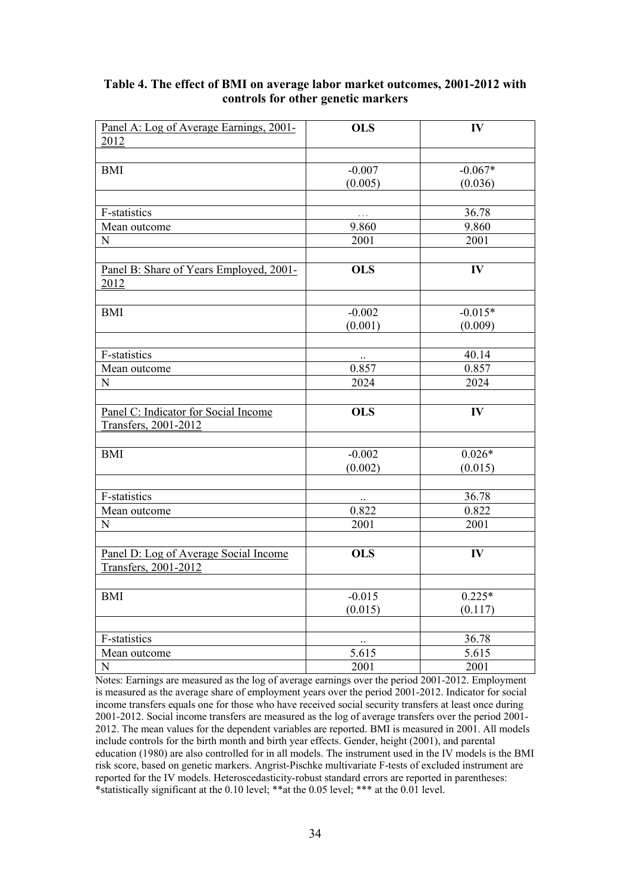| Panel A: Log of Average Earnings, 2001-         | <b>OLS</b> | IV        |
|-------------------------------------------------|------------|-----------|
| 2012                                            |            |           |
|                                                 |            |           |
| <b>BMI</b>                                      | $-0.007$   | $-0.067*$ |
|                                                 | (0.005)    | (0.036)   |
|                                                 |            |           |
| F-statistics                                    | $\ddotsc$  | 36.78     |
| Mean outcome                                    | 9.860      | 9.860     |
| N                                               | 2001       | 2001      |
|                                                 |            |           |
| Panel B: Share of Years Employed, 2001-<br>2012 | <b>OLS</b> | IV        |
|                                                 |            |           |
| <b>BMI</b>                                      | $-0.002$   | $-0.015*$ |
|                                                 | (0.001)    | (0.009)   |
|                                                 |            |           |
| F-statistics                                    | $\ldots$   | 40.14     |
| Mean outcome                                    | 0.857      | 0.857     |
| N                                               | 2024       | 2024      |
| Panel C: Indicator for Social Income            | <b>OLS</b> | IV        |
| Transfers, 2001-2012                            |            |           |
|                                                 |            |           |
| <b>BMI</b>                                      | $-0.002$   | $0.026*$  |
|                                                 | (0.002)    | (0.015)   |
|                                                 |            |           |
| F-statistics                                    |            | 36.78     |
| Mean outcome                                    | 0.822      | 0.822     |
| N                                               | 2001       | 2001      |
|                                                 |            |           |
| Panel D: Log of Average Social Income           | <b>OLS</b> | IV        |
| Transfers, 2001-2012                            |            |           |
|                                                 |            |           |
| <b>BMI</b>                                      | $-0.015$   | $0.225*$  |
|                                                 | (0.015)    | (0.117)   |
|                                                 |            |           |
| F-statistics                                    | $\ddotsc$  | 36.78     |
| Mean outcome                                    | 5.615      | 5.615     |
| $\mathbf N$                                     | 2001       | 2001      |

#### **Table 4. The effect of BMI on average labor market outcomes, 2001-2012 with controls for other genetic markers**

Notes: Earnings are measured as the log of average earnings over the period 2001-2012. Employment is measured as the average share of employment years over the period 2001-2012. Indicator for social income transfers equals one for those who have received social security transfers at least once during 2001-2012. Social income transfers are measured as the log of average transfers over the period 2001- 2012. The mean values for the dependent variables are reported. BMI is measured in 2001. All models include controls for the birth month and birth year effects. Gender, height (2001), and parental education (1980) are also controlled for in all models. The instrument used in the IV models is the BMI risk score, based on genetic markers. Angrist-Pischke multivariate F-tests of excluded instrument are reported for the IV models. Heteroscedasticity-robust standard errors are reported in parentheses: \*statistically significant at the 0.10 level; \*\*at the 0.05 level; \*\*\* at the 0.01 level.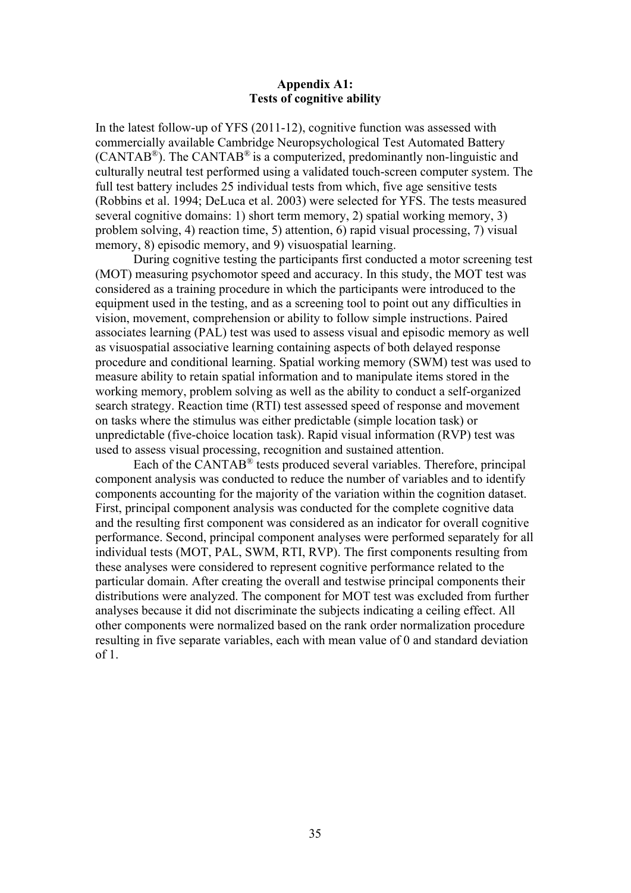#### **Appendix A1: Tests of cognitive ability**

In the latest follow-up of YFS (2011-12), cognitive function was assessed with commercially available Cambridge Neuropsychological Test Automated Battery  $(CANTAB<sup>®</sup>)$ . The CANTAB<sup>®</sup> is a computerized, predominantly non-linguistic and culturally neutral test performed using a validated touch-screen computer system. The full test battery includes 25 individual tests from which, five age sensitive tests (Robbins et al. 1994; DeLuca et al. 2003) were selected for YFS. The tests measured several cognitive domains: 1) short term memory, 2) spatial working memory, 3) problem solving, 4) reaction time, 5) attention, 6) rapid visual processing, 7) visual memory, 8) episodic memory, and 9) visuospatial learning.

During cognitive testing the participants first conducted a motor screening test (MOT) measuring psychomotor speed and accuracy. In this study, the MOT test was considered as a training procedure in which the participants were introduced to the equipment used in the testing, and as a screening tool to point out any difficulties in vision, movement, comprehension or ability to follow simple instructions. Paired associates learning (PAL) test was used to assess visual and episodic memory as well as visuospatial associative learning containing aspects of both delayed response procedure and conditional learning. Spatial working memory (SWM) test was used to measure ability to retain spatial information and to manipulate items stored in the working memory, problem solving as well as the ability to conduct a self-organized search strategy. Reaction time (RTI) test assessed speed of response and movement on tasks where the stimulus was either predictable (simple location task) or unpredictable (five-choice location task). Rapid visual information (RVP) test was used to assess visual processing, recognition and sustained attention.

Each of the CANTAB<sup>®</sup> tests produced several variables. Therefore, principal component analysis was conducted to reduce the number of variables and to identify components accounting for the majority of the variation within the cognition dataset. First, principal component analysis was conducted for the complete cognitive data and the resulting first component was considered as an indicator for overall cognitive performance. Second, principal component analyses were performed separately for all individual tests (MOT, PAL, SWM, RTI, RVP). The first components resulting from these analyses were considered to represent cognitive performance related to the particular domain. After creating the overall and testwise principal components their distributions were analyzed. The component for MOT test was excluded from further analyses because it did not discriminate the subjects indicating a ceiling effect. All other components were normalized based on the rank order normalization procedure resulting in five separate variables, each with mean value of 0 and standard deviation of 1.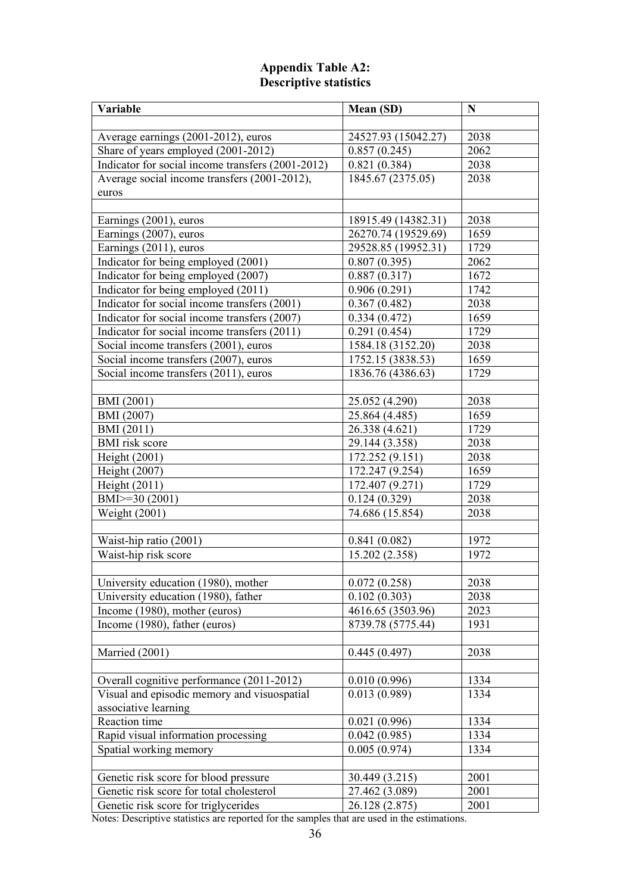#### **Appendix Table A2: Descriptive statistics**

| Variable                                          | Mean (SD)           | N                  |
|---------------------------------------------------|---------------------|--------------------|
|                                                   |                     |                    |
| Average earnings (2001-2012), euros               | 24527.93 (15042.27) | 2038               |
| Share of years employed (2001-2012)               | 0.857(0.245)        | 2062               |
| Indicator for social income transfers (2001-2012) | 0.821(0.384)        | 2038               |
| Average social income transfers (2001-2012),      | 1845.67 (2375.05)   | 2038               |
| euros                                             |                     |                    |
|                                                   |                     |                    |
| Earnings (2001), euros                            | 18915.49 (14382.31) | 2038               |
| Earnings (2007), euros                            | 26270.74 (19529.69) | 1659               |
| Earnings (2011), euros                            | 29528.85 (19952.31) | 1729               |
| Indicator for being employed (2001)               | 0.807(0.395)        | 2062               |
| Indicator for being employed (2007)               | 0.887(0.317)        | 1672               |
| Indicator for being employed (2011)               | 0.906(0.291)        | 1742               |
| Indicator for social income transfers (2001)      | 0.367(0.482)        | 2038               |
| Indicator for social income transfers (2007)      | 0.334(0.472)        | 1659               |
| Indicator for social income transfers (2011)      | 0.291(0.454)        | 1729               |
| Social income transfers (2001), euros             | 1584.18 (3152.20)   | 2038               |
| Social income transfers (2007), euros             | 1752.15 (3838.53)   | 1659               |
| Social income transfers (2011), euros             | 1836.76 (4386.63)   | 1729               |
|                                                   |                     |                    |
| BMI (2001)                                        | 25.052 (4.290)      | 2038               |
| BMI (2007)                                        | 25.864 (4.485)      | 1659               |
| BMI (2011)                                        | 26.338 (4.621)      | $\overline{1}$ 729 |
| <b>BMI</b> risk score                             | 29.144 (3.358)      | 2038               |
| Height (2001)                                     | 172.252 (9.151)     | 2038               |
| Height (2007)                                     | 172.247 (9.254)     | 1659               |
| Height (2011)                                     | 172.407 (9.271)     | 1729               |
| BMI>=30 (2001)                                    | 0.124(0.329)        | 2038               |
| Weight (2001)                                     | 74.686 (15.854)     | 2038               |
|                                                   |                     |                    |
| Waist-hip ratio (2001)                            | 0.841(0.082)        | 1972               |
| Waist-hip risk score                              | 15.202 (2.358)      | 1972               |
|                                                   |                     |                    |
| University education (1980), mother               | 0.072(0.258)        | 2038               |
| University education (1980), father               | 0.102(0.303)        | 2038               |
| Income (1980), mother (euros)                     | 4616.65 (3503.96)   | 2023               |
| Income (1980), father (euros)                     | 8739.78 (5775.44)   | 1931               |
|                                                   |                     |                    |
| Married (2001)                                    | 0.445(0.497)        | 2038               |
|                                                   |                     |                    |
| Overall cognitive performance (2011-2012)         | 0.010(0.996)        | 1334               |
| Visual and episodic memory and visuospatial       | 0.013(0.989)        | 1334               |
| associative learning                              |                     |                    |
| Reaction time                                     | 0.021(0.996)        | 1334               |
| Rapid visual information processing               | 0.042(0.985)        | 1334               |
| Spatial working memory                            | 0.005(0.974)        | 1334               |
|                                                   |                     |                    |
| Genetic risk score for blood pressure             | 30.449 (3.215)      | 2001               |
| Genetic risk score for total cholesterol          | 27.462 (3.089)      | 2001               |
| Genetic risk score for triglycerides              | 26.128 (2.875)      | 2001               |
|                                                   |                     |                    |

Notes: Descriptive statistics are reported for the samples that are used in the estimations.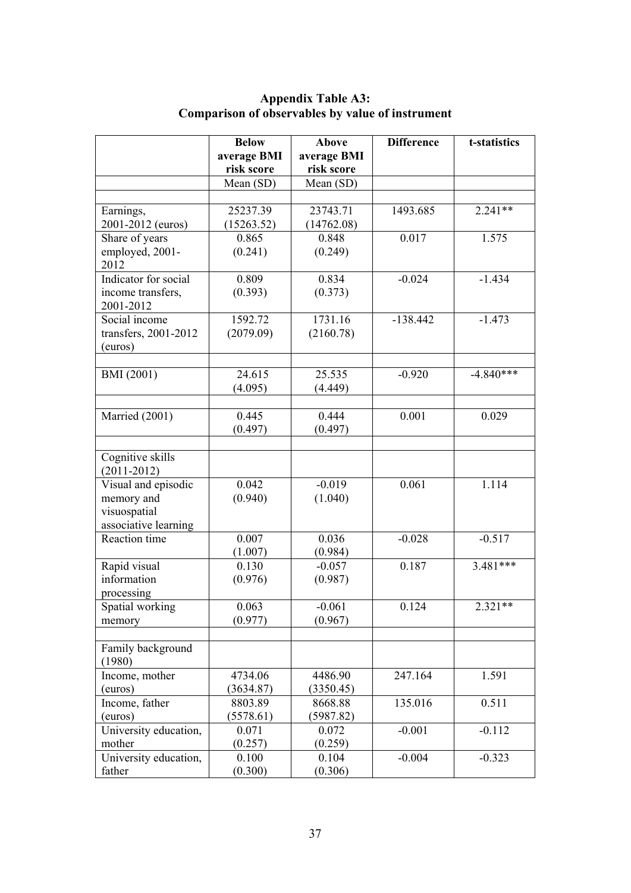|                       | <b>Below</b>     | <b>Above</b>     | <b>Difference</b> | t-statistics |
|-----------------------|------------------|------------------|-------------------|--------------|
|                       | average BMI      | average BMI      |                   |              |
|                       | risk score       | risk score       |                   |              |
|                       | Mean (SD)        | Mean (SD)        |                   |              |
|                       |                  |                  |                   |              |
| Earnings,             | 25237.39         | 23743.71         | 1493.685          | $2.241**$    |
| 2001-2012 (euros)     | (15263.52)       | (14762.08)       |                   |              |
| Share of years        | 0.865            | 0.848            | 0.017             | 1.575        |
| employed, 2001-       | (0.241)          | (0.249)          |                   |              |
| 2012                  |                  |                  |                   |              |
| Indicator for social  | 0.809            | 0.834            | $-0.024$          | $-1.434$     |
| income transfers,     | (0.393)          | (0.373)          |                   |              |
| 2001-2012             |                  |                  |                   |              |
| Social income         | 1592.72          | 1731.16          | $-138.442$        | $-1.473$     |
| transfers, 2001-2012  | (2079.09)        | (2160.78)        |                   |              |
| (euros)               |                  |                  |                   |              |
|                       |                  |                  |                   |              |
| BMI (2001)            | 24.615           | 25.535           | $-0.920$          | $-4.840***$  |
|                       | (4.095)          | (4.449)          |                   |              |
|                       |                  |                  |                   |              |
| Married (2001)        | 0.445            | 0.444            | 0.001             | 0.029        |
|                       | (0.497)          | (0.497)          |                   |              |
|                       |                  |                  |                   |              |
| Cognitive skills      |                  |                  |                   |              |
| $(2011 - 2012)$       |                  |                  |                   |              |
| Visual and episodic   | 0.042            | $-0.019$         | 0.061             | 1.114        |
| memory and            | (0.940)          | (1.040)          |                   |              |
| visuospatial          |                  |                  |                   |              |
| associative learning  |                  |                  |                   |              |
| Reaction time         | 0.007            | 0.036            | $-0.028$          | $-0.517$     |
|                       | (1.007)          | (0.984)          |                   |              |
| Rapid visual          | 0.130            | $-0.057$         | 0.187             | $3.481***$   |
| information           | (0.976)          | (0.987)          |                   |              |
| processing            |                  |                  |                   |              |
| Spatial working       | 0.063            | $-0.061$         | 0.124             | $2.321**$    |
| memory                | (0.977)          | (0.967)          |                   |              |
|                       |                  |                  |                   |              |
| Family background     |                  |                  |                   |              |
| (1980)                |                  |                  |                   |              |
| Income, mother        | 4734.06          | 4486.90          | 247.164           | 1.591        |
| (euros)               | (3634.87)        | (3350.45)        |                   |              |
| Income, father        | 8803.89          | 8668.88          | 135.016           | 0.511        |
| (euros)               | (5578.61)        | (5987.82)        |                   |              |
| University education, | 0.071            | 0.072            | $-0.001$          | $-0.112$     |
| mother                |                  |                  |                   |              |
|                       | (0.257)<br>0.100 | (0.259)<br>0.104 | $-0.004$          | $-0.323$     |
| University education, |                  |                  |                   |              |
| father                | (0.300)          | (0.306)          |                   |              |

#### **Appendix Table A3: Comparison of observables by value of instrument**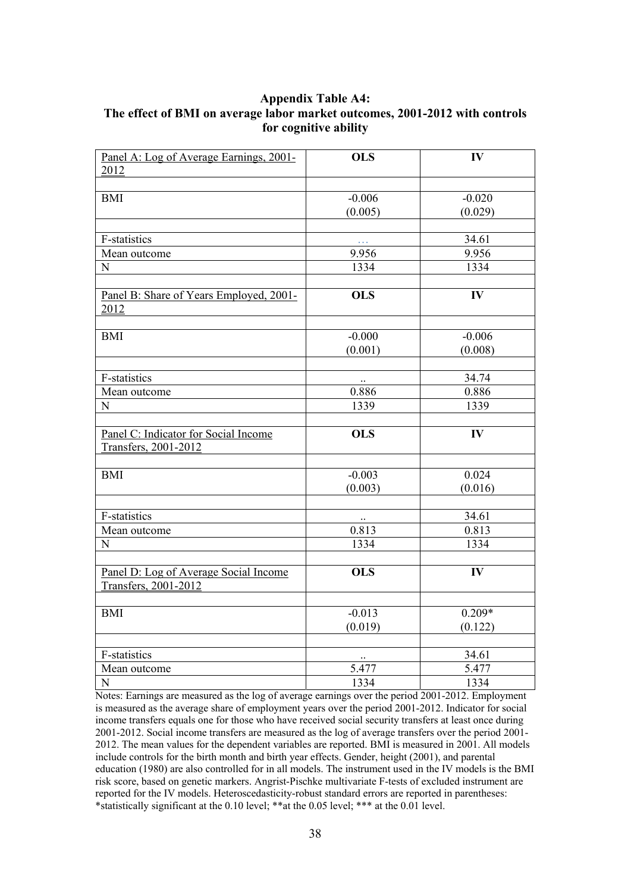#### **Appendix Table A4: The effect of BMI on average labor market outcomes, 2001-2012 with controls for cognitive ability**

| Panel A: Log of Average Earnings, 2001-                       | <b>OLS</b> | IV            |
|---------------------------------------------------------------|------------|---------------|
| 2012                                                          |            |               |
|                                                               |            |               |
| <b>BMI</b>                                                    | $-0.006$   | $-0.020$      |
|                                                               | (0.005)    | (0.029)       |
|                                                               |            |               |
| F-statistics                                                  |            | 34.61         |
| Mean outcome                                                  | 9.956      | 9.956         |
| N                                                             | 1334       | 1334          |
|                                                               |            |               |
| Panel B: Share of Years Employed, 2001-<br>2012               | <b>OLS</b> | IV            |
|                                                               |            |               |
| $\mathop{\rm BMI}\nolimits$                                   | $-0.000$   | $-0.006$      |
|                                                               | (0.001)    | (0.008)       |
|                                                               |            |               |
| $\overline{F}$ -statistics                                    | $\ldots$   | 34.74         |
| Mean outcome                                                  | 0.886      | 0.886         |
| N                                                             | 1339       | 1339          |
|                                                               |            |               |
| Panel C: Indicator for Social Income                          | <b>OLS</b> | $\mathbf{IV}$ |
| Transfers, 2001-2012                                          |            |               |
|                                                               |            |               |
| <b>BMI</b>                                                    | $-0.003$   | 0.024         |
|                                                               | (0.003)    | (0.016)       |
|                                                               |            |               |
| F-statistics                                                  |            | 34.61         |
| Mean outcome                                                  | 0.813      | 0.813         |
| N                                                             | 1334       | 1334          |
| Panel D: Log of Average Social Income<br>Transfers, 2001-2012 | <b>OLS</b> | IV            |
|                                                               |            |               |
| <b>BMI</b>                                                    | $-0.013$   | $0.209*$      |
|                                                               | (0.019)    | (0.122)       |
|                                                               |            |               |
| F-statistics                                                  | $\ddotsc$  | 34.61         |
| Mean outcome                                                  | 5.477      | 5.477         |
| ${\bf N}$                                                     | 1334       | 1334          |

Notes: Earnings are measured as the log of average earnings over the period 2001-2012. Employment is measured as the average share of employment years over the period 2001-2012. Indicator for social income transfers equals one for those who have received social security transfers at least once during 2001-2012. Social income transfers are measured as the log of average transfers over the period 2001- 2012. The mean values for the dependent variables are reported. BMI is measured in 2001. All models include controls for the birth month and birth year effects. Gender, height (2001), and parental education (1980) are also controlled for in all models. The instrument used in the IV models is the BMI risk score, based on genetic markers. Angrist-Pischke multivariate F-tests of excluded instrument are reported for the IV models. Heteroscedasticity-robust standard errors are reported in parentheses: \*statistically significant at the 0.10 level; \*\*at the 0.05 level; \*\*\* at the 0.01 level.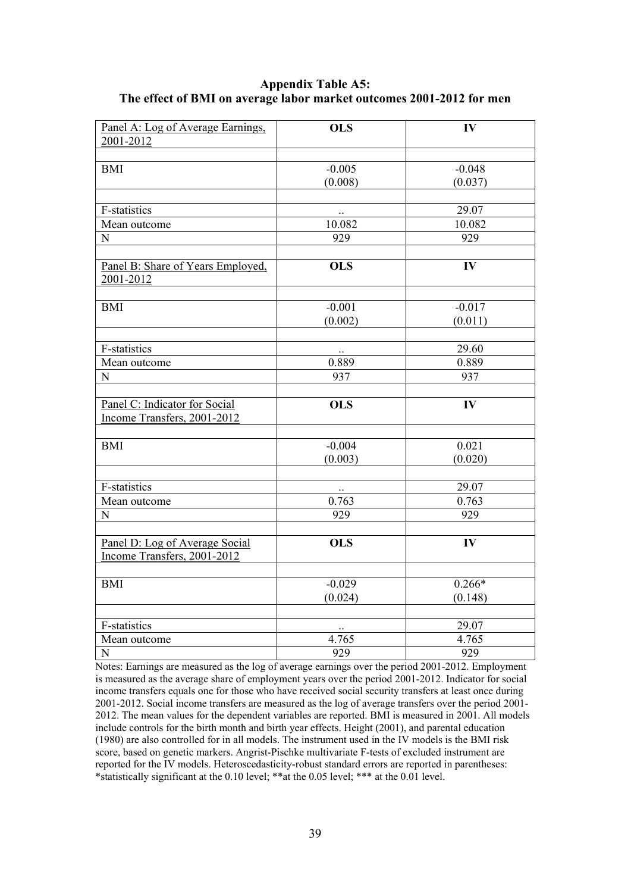#### **Appendix Table A5: The effect of BMI on average labor market outcomes 2001-2012 for men**

| Panel A: Log of Average Earnings.                            | <b>OLS</b>       | IV            |
|--------------------------------------------------------------|------------------|---------------|
| 2001-2012                                                    |                  |               |
| <b>BMI</b>                                                   | $-0.005$         | $-0.048$      |
|                                                              | (0.008)          | (0.037)       |
|                                                              |                  |               |
| F-statistics                                                 |                  | 29.07         |
| Mean outcome                                                 | 10.082           | 10.082        |
| $\mathbf N$                                                  | 929              | 929           |
|                                                              |                  |               |
| Panel B: Share of Years Employed,<br>2001-2012               | <b>OLS</b>       | IV            |
|                                                              |                  |               |
| <b>BMI</b>                                                   | $-0.001$         | $-0.017$      |
|                                                              | (0.002)          | (0.011)       |
|                                                              |                  |               |
| F-statistics                                                 |                  | 29.60         |
| Mean outcome                                                 | 0.889            | 0.889         |
| N                                                            | 937              | 937           |
|                                                              | <b>OLS</b>       | $\mathbf{IV}$ |
| Panel C: Indicator for Social<br>Income Transfers, 2001-2012 |                  |               |
|                                                              |                  |               |
| <b>BMI</b>                                                   | $-0.004$         | 0.021         |
|                                                              | (0.003)          | (0.020)       |
|                                                              |                  |               |
| F-statistics                                                 |                  | 29.07         |
| Mean outcome                                                 | 0.763            | 0.763         |
| N                                                            | 929              | 929           |
|                                                              |                  |               |
| Panel D: Log of Average Social                               | <b>OLS</b>       | IV            |
| Income Transfers, 2001-2012                                  |                  |               |
| <b>BMI</b>                                                   | $-0.029$         | $0.266*$      |
|                                                              | (0.024)          | (0.148)       |
|                                                              |                  |               |
| F-statistics                                                 |                  | 29.07         |
| Mean outcome                                                 | 4.765            | 4.765         |
| $\mathbf N$                                                  | $\overline{929}$ | 929           |

Notes: Earnings are measured as the log of average earnings over the period 2001-2012. Employment is measured as the average share of employment years over the period 2001-2012. Indicator for social income transfers equals one for those who have received social security transfers at least once during 2001-2012. Social income transfers are measured as the log of average transfers over the period 2001- 2012. The mean values for the dependent variables are reported. BMI is measured in 2001. All models include controls for the birth month and birth year effects. Height (2001), and parental education (1980) are also controlled for in all models. The instrument used in the IV models is the BMI risk score, based on genetic markers. Angrist-Pischke multivariate F-tests of excluded instrument are reported for the IV models. Heteroscedasticity-robust standard errors are reported in parentheses: \*statistically significant at the 0.10 level; \*\*at the 0.05 level; \*\*\* at the 0.01 level.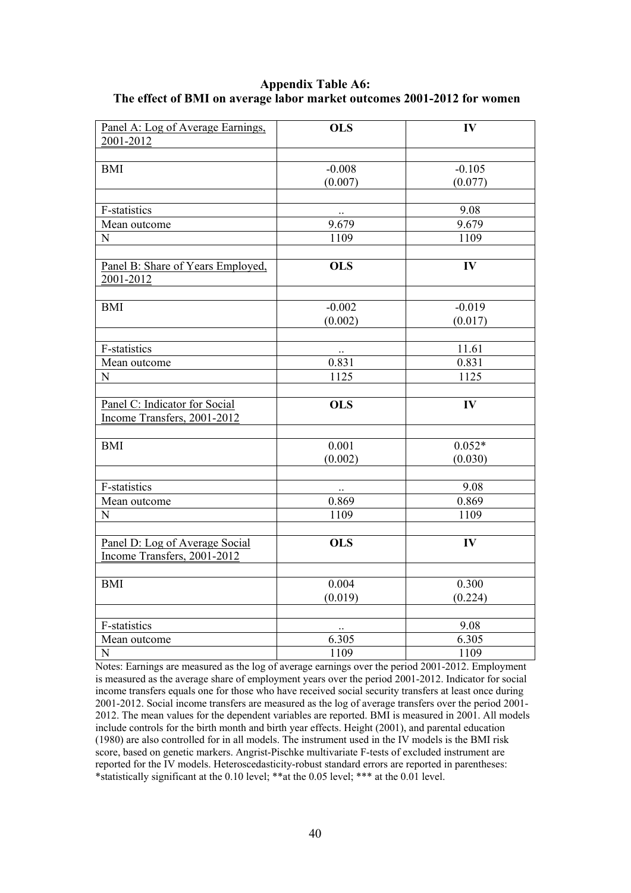#### **Appendix Table A6: The effect of BMI on average labor market outcomes 2001-2012 for women**

| Panel A: Log of Average Earnings. | <b>OLS</b> | IV            |
|-----------------------------------|------------|---------------|
| 2001-2012                         |            |               |
|                                   |            |               |
| <b>BMI</b>                        | $-0.008$   | $-0.105$      |
|                                   | (0.007)    | (0.077)       |
|                                   |            |               |
| F-statistics                      |            | 9.08          |
| Mean outcome                      | 9.679      | 9.679         |
| N                                 | 1109       | 1109          |
| Panel B: Share of Years Employed, | <b>OLS</b> | IV            |
| 2001-2012                         |            |               |
|                                   |            |               |
| <b>BMI</b>                        | $-0.002$   | $-0.019$      |
|                                   | (0.002)    | (0.017)       |
|                                   |            |               |
| F-statistics                      |            | 11.61         |
| Mean outcome                      | 0.831      | 0.831         |
| N                                 | 1125       | 1125          |
|                                   |            |               |
| Panel C: Indicator for Social     | <b>OLS</b> | $\mathbf{IV}$ |
| Income Transfers, 2001-2012       |            |               |
|                                   |            |               |
| <b>BMI</b>                        | 0.001      | $0.052*$      |
|                                   | (0.002)    | (0.030)       |
|                                   |            |               |
| F-statistics                      |            | 9.08          |
| Mean outcome                      | 0.869      | 0.869         |
| N                                 | 1109       | 1109          |
| Panel D: Log of Average Social    | <b>OLS</b> | IV            |
| Income Transfers, 2001-2012       |            |               |
|                                   |            |               |
| <b>BMI</b>                        | 0.004      | 0.300         |
|                                   | (0.019)    | (0.224)       |
|                                   |            |               |
| F-statistics                      | $\ddotsc$  | 9.08          |
| Mean outcome                      | 6.305      | 6.305         |
| ${\bf N}$                         | 1109       | 1109          |

Notes: Earnings are measured as the log of average earnings over the period 2001-2012. Employment is measured as the average share of employment years over the period 2001-2012. Indicator for social income transfers equals one for those who have received social security transfers at least once during 2001-2012. Social income transfers are measured as the log of average transfers over the period 2001- 2012. The mean values for the dependent variables are reported. BMI is measured in 2001. All models include controls for the birth month and birth year effects. Height (2001), and parental education (1980) are also controlled for in all models. The instrument used in the IV models is the BMI risk score, based on genetic markers. Angrist-Pischke multivariate F-tests of excluded instrument are reported for the IV models. Heteroscedasticity-robust standard errors are reported in parentheses: \*statistically significant at the 0.10 level; \*\*at the 0.05 level; \*\*\* at the 0.01 level.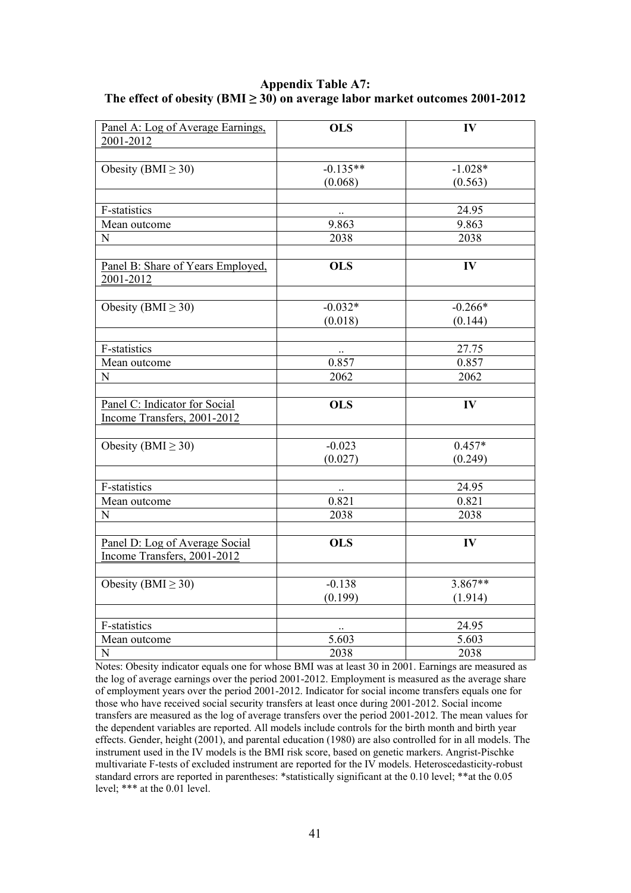**Appendix Table A7:**  The effect of obesity ( $BMI \geq 30$ ) on average labor market outcomes 2001-2012

| Panel A: Log of Average Earnings.<br>2001-2012 | <b>OLS</b> | IV            |
|------------------------------------------------|------------|---------------|
|                                                |            |               |
| Obesity (BMI $\geq$ 30)                        | $-0.135**$ | $-1.028*$     |
|                                                | (0.068)    | (0.563)       |
|                                                |            |               |
| F-statistics                                   |            | 24.95         |
| Mean outcome                                   | 9.863      | 9.863         |
| N                                              | 2038       | 2038          |
| Panel B: Share of Years Employed,<br>2001-2012 | <b>OLS</b> | IV            |
|                                                |            |               |
| Obesity (BMI $\geq$ 30)                        | $-0.032*$  | $-0.266*$     |
|                                                | (0.018)    | (0.144)       |
| F-statistics                                   |            | 27.75         |
| Mean outcome                                   | 0.857      | 0.857         |
| N                                              | 2062       | 2062          |
|                                                |            |               |
| Panel C: Indicator for Social                  | <b>OLS</b> | IV            |
| Income Transfers, 2001-2012                    |            |               |
|                                                |            |               |
| Obesity (BMI $\geq$ 30)                        | $-0.023$   | $0.457*$      |
|                                                | (0.027)    | (0.249)       |
| F-statistics                                   |            | 24.95         |
| Mean outcome                                   | 0.821      | 0.821         |
| N                                              | 2038       | 2038          |
|                                                |            |               |
| Panel D: Log of Average Social                 | <b>OLS</b> | $\mathbf{IV}$ |
| Income Transfers, 2001-2012                    |            |               |
|                                                | $-0.138$   | $3.867**$     |
| Obesity (BMI $\geq$ 30)                        |            |               |
|                                                | (0.199)    | (1.914)       |
| F-statistics                                   | $\ddotsc$  | 24.95         |
| Mean outcome                                   | 5.603      | 5.603         |
| ${\bf N}$                                      | 2038       | 2038          |

Notes: Obesity indicator equals one for whose BMI was at least 30 in 2001. Earnings are measured as the log of average earnings over the period 2001-2012. Employment is measured as the average share of employment years over the period 2001-2012. Indicator for social income transfers equals one for those who have received social security transfers at least once during 2001-2012. Social income transfers are measured as the log of average transfers over the period 2001-2012. The mean values for the dependent variables are reported. All models include controls for the birth month and birth year effects. Gender, height (2001), and parental education (1980) are also controlled for in all models. The instrument used in the IV models is the BMI risk score, based on genetic markers. Angrist-Pischke multivariate F-tests of excluded instrument are reported for the IV models. Heteroscedasticity-robust standard errors are reported in parentheses: \*statistically significant at the 0.10 level; \*\*at the 0.05 level; \*\*\* at the 0.01 level.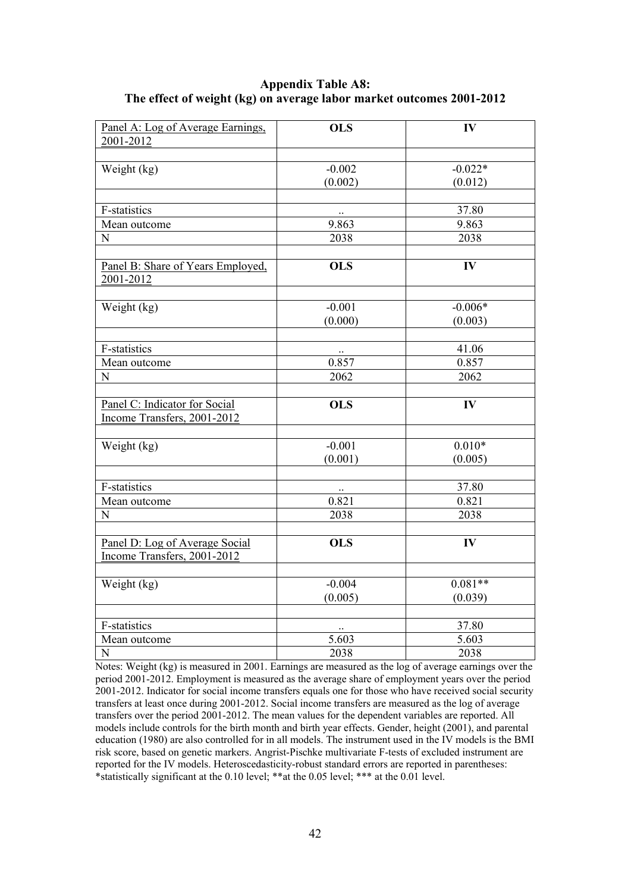#### **Appendix Table A8: The effect of weight (kg) on average labor market outcomes 2001-2012**

| 2001-2012<br>$-0.022*$<br>Weight (kg)<br>$-0.002$<br>(0.002)<br>(0.012)<br>F-statistics<br>37.80<br>9.863<br>9.863<br>Mean outcome<br>2038<br>N<br>2038<br><b>OLS</b><br>IV<br>Panel B: Share of Years Employed,<br>2001-2012<br>$-0.001$<br>$-0.006*$<br>Weight (kg) |
|-----------------------------------------------------------------------------------------------------------------------------------------------------------------------------------------------------------------------------------------------------------------------|
|                                                                                                                                                                                                                                                                       |
|                                                                                                                                                                                                                                                                       |
|                                                                                                                                                                                                                                                                       |
|                                                                                                                                                                                                                                                                       |
|                                                                                                                                                                                                                                                                       |
|                                                                                                                                                                                                                                                                       |
|                                                                                                                                                                                                                                                                       |
|                                                                                                                                                                                                                                                                       |
|                                                                                                                                                                                                                                                                       |
|                                                                                                                                                                                                                                                                       |
|                                                                                                                                                                                                                                                                       |
| (0.000)<br>(0.003)                                                                                                                                                                                                                                                    |
|                                                                                                                                                                                                                                                                       |
| F-statistics<br>41.06                                                                                                                                                                                                                                                 |
| 0.857<br>0.857<br>Mean outcome                                                                                                                                                                                                                                        |
| 2062<br>2062<br>${\bf N}$                                                                                                                                                                                                                                             |
|                                                                                                                                                                                                                                                                       |
| $\overline{O}$ LS<br>IV<br>Panel C: Indicator for Social                                                                                                                                                                                                              |
| Income Transfers, 2001-2012                                                                                                                                                                                                                                           |
| $0.010*$<br>Weight (kg)<br>$-0.001$                                                                                                                                                                                                                                   |
| (0.001)<br>(0.005)                                                                                                                                                                                                                                                    |
|                                                                                                                                                                                                                                                                       |
| F-statistics<br>37.80                                                                                                                                                                                                                                                 |
| 0.821<br>0.821<br>Mean outcome                                                                                                                                                                                                                                        |
| 2038<br>2038<br>N                                                                                                                                                                                                                                                     |
|                                                                                                                                                                                                                                                                       |
| Panel D: Log of Average Social<br><b>OLS</b><br>IV                                                                                                                                                                                                                    |
| Income Transfers, 2001-2012                                                                                                                                                                                                                                           |
| $0.081**$                                                                                                                                                                                                                                                             |
| $-0.004$<br>Weight (kg)                                                                                                                                                                                                                                               |
| (0.005)<br>(0.039)                                                                                                                                                                                                                                                    |
| F-statistics<br>37.80                                                                                                                                                                                                                                                 |
| 5.603<br>5.603<br>Mean outcome                                                                                                                                                                                                                                        |
| ${\bf N}$<br>2038<br>2038                                                                                                                                                                                                                                             |

Notes: Weight (kg) is measured in 2001. Earnings are measured as the log of average earnings over the period 2001-2012. Employment is measured as the average share of employment years over the period 2001-2012. Indicator for social income transfers equals one for those who have received social security transfers at least once during 2001-2012. Social income transfers are measured as the log of average transfers over the period 2001-2012. The mean values for the dependent variables are reported. All models include controls for the birth month and birth year effects. Gender, height (2001), and parental education (1980) are also controlled for in all models. The instrument used in the IV models is the BMI risk score, based on genetic markers. Angrist-Pischke multivariate F-tests of excluded instrument are reported for the IV models. Heteroscedasticity-robust standard errors are reported in parentheses: \*statistically significant at the 0.10 level; \*\*at the 0.05 level; \*\*\* at the 0.01 level.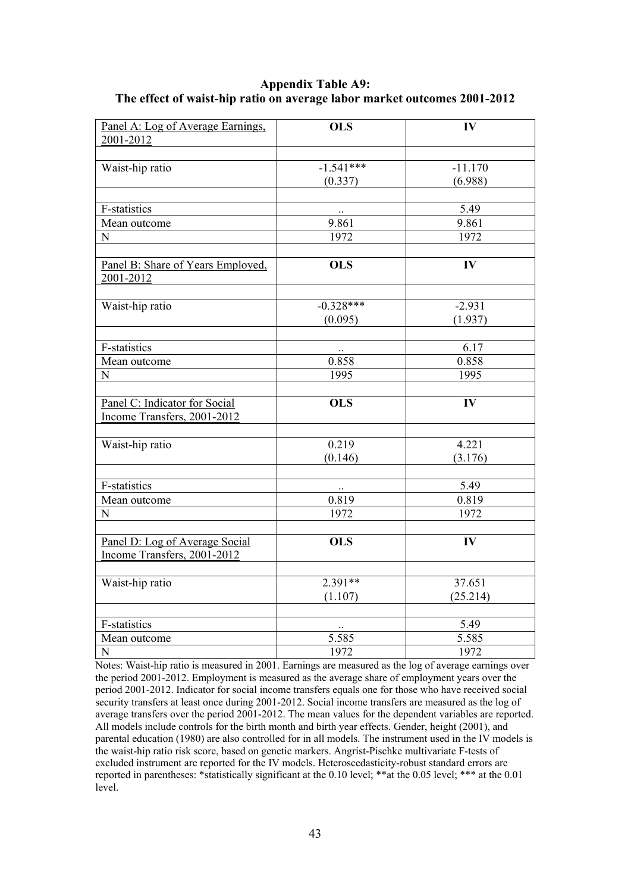#### **Appendix Table A9: The effect of waist-hip ratio on average labor market outcomes 2001-2012**

| Panel A: Log of Average Earnings.              | <b>OLS</b>  | IV            |
|------------------------------------------------|-------------|---------------|
| 2001-2012                                      |             |               |
|                                                |             |               |
| Waist-hip ratio                                | $-1.541***$ | $-11.170$     |
|                                                | (0.337)     | (6.988)       |
|                                                |             |               |
| <b>F-statistics</b>                            |             | 5.49          |
| Mean outcome                                   | 9.861       | 9.861         |
| N                                              | 1972        | 1972          |
| Panel B: Share of Years Employed,<br>2001-2012 | <b>OLS</b>  | $\mathbf{IV}$ |
|                                                |             |               |
| Waist-hip ratio                                | $-0.328***$ | $-2.931$      |
|                                                | (0.095)     | (1.937)       |
|                                                |             |               |
| F-statistics                                   |             | 6.17          |
| Mean outcome                                   | 0.858       | 0.858         |
| ${\bf N}$                                      | 1995        | 1995          |
|                                                |             |               |
| Panel C: Indicator for Social                  | <b>OLS</b>  | IV            |
| Income Transfers, 2001-2012                    |             |               |
|                                                |             |               |
| Waist-hip ratio                                | 0.219       | 4.221         |
|                                                | (0.146)     | (3.176)       |
| F-statistics                                   |             | 5.49          |
| Mean outcome                                   | 0.819       | 0.819         |
| N                                              | 1972        | 1972          |
|                                                |             |               |
| Panel D: Log of Average Social                 | <b>OLS</b>  | IV            |
| Income Transfers, 2001-2012                    |             |               |
|                                                |             |               |
| Waist-hip ratio                                | $2.391**$   | 37.651        |
|                                                | (1.107)     | (25.214)      |
|                                                |             |               |
| <b>F-statistics</b>                            | $\ldots$    | 5.49          |
| Mean outcome                                   | 5.585       | 5.585         |
| $\mathbf N$                                    | 1972        | 1972          |

Notes: Waist-hip ratio is measured in 2001. Earnings are measured as the log of average earnings over the period 2001-2012. Employment is measured as the average share of employment years over the period 2001-2012. Indicator for social income transfers equals one for those who have received social security transfers at least once during 2001-2012. Social income transfers are measured as the log of average transfers over the period 2001-2012. The mean values for the dependent variables are reported. All models include controls for the birth month and birth year effects. Gender, height (2001), and parental education (1980) are also controlled for in all models. The instrument used in the IV models is the waist-hip ratio risk score, based on genetic markers. Angrist-Pischke multivariate F-tests of excluded instrument are reported for the IV models. Heteroscedasticity-robust standard errors are reported in parentheses: \*statistically significant at the 0.10 level; \*\*at the 0.05 level; \*\*\* at the 0.01 level.